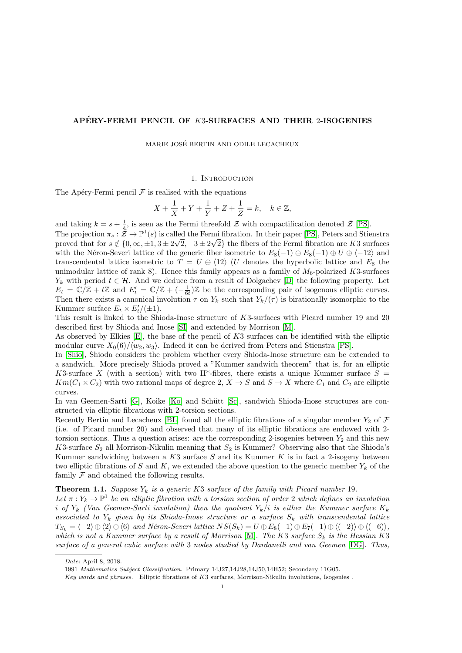## APÉRY-FERMI PENCIL OF K3-SURFACES AND THEIR 2-ISOGENIES

MARIE JOSE BERTIN AND ODILE LECACHEUX ´

1. INTRODUCTION

The Apéry-Fermi pencil  $\mathcal F$  is realised with the equations

$$
X+\frac{1}{X}+Y+\frac{1}{Y}+Z+\frac{1}{Z}=k,\quad k\in\mathbb{Z},
$$

and taking  $k = s + \frac{1}{s}$ , is seen as the Fermi threefold  $\mathcal{Z}$  with compactification denoted  $\bar{\mathcal{Z}}$  [\[PS\]](#page-28-0).

The projection  $\pi_s : \mathbb{Z} \to \mathbb{P}^1(s)$  is called the Fermi fibration. In their paper [\[PS\]](#page-28-0), Peters and Stienstra proved that for  $s \notin \{0, \infty, \pm 1, 3 \pm 2\sqrt{2}, -3 \pm 2\sqrt{2}\}\$ the fibers of the Fermi fibration are K3 surfaces with the Néron-Severi lattice of the generic fiber isometric to  $E_8(-1) \oplus E_8(-1) \oplus U \oplus \langle -12 \rangle$  and transcendental lattice isometric to  $T = U \oplus \langle 12 \rangle$  (U denotes the hyperbolic lattice and  $E_8$  the unimodular lattice of rank 8). Hence this family appears as a family of  $M_6$ -polarized K3-surfaces  $Y_k$  with period  $t \in \mathcal{H}$ . And we deduce from a result of Dolgachev [\[D\]](#page-28-1) the following property. Let  $E_t = \mathbb{C}/\mathbb{Z} + t\mathbb{Z}$  and  $E'_t = \mathbb{C}/\mathbb{Z} + (-\frac{1}{6t})\mathbb{Z}$  be the corresponding pair of isogenous elliptic curves. Then there exists a canonical involution  $\tau$  on  $Y_k$  such that  $Y_k/(\tau)$  is birationally isomorphic to the Kummer surface  $E_t \times E'_t/(\pm 1)$ .

This result is linked to the Shioda-Inose structure of K3-surfaces with Picard number 19 and 20 described first by Shioda and Inose [\[SI\]](#page-29-0) and extended by Morrison [\[M\]](#page-28-2).

As observed by Elkies [\[E\]](#page-28-3), the base of the pencil of K3 surfaces can be identified with the elliptic modular curve  $X_0(6)/\langle w_2, w_3 \rangle$ . Indeed it can be derived from Peters and Stienstra [\[PS\]](#page-28-0).

In [\[Shio\]](#page-28-4), Shioda considers the problem whether every Shioda-Inose structure can be extended to a sandwich. More precisely Shioda proved a "Kummer sandwich theorem" that is, for an elliptic K3-surface X (with a section) with two II\*-fibres, there exists a unique Kummer surface  $S =$  $Km(C_1 \times C_2)$  with two rational maps of degree 2,  $X \to S$  and  $S \to X$  where  $C_1$  and  $C_2$  are elliptic curves.

In van Geemen-Sarti [\[G\]](#page-28-5), Koike [\[Ko\]](#page-28-6) and Schütt [\[Sc\]](#page-28-7), sandwich Shioda-Inose structures are constructed via elliptic fibrations with 2-torsion sections.

Recently Bertin and Lecacheux [\[BL\]](#page-28-8) found all the elliptic fibrations of a singular member  $Y_2$  of  $\mathcal F$ (i.e. of Picard number 20) and observed that many of its elliptic fibrations are endowed with 2 torsion sections. Thus a question arises: are the corresponding 2-isogenies between  $Y_2$  and this new K3-surface  $S_2$  all Morrison-Nikulin meaning that  $S_2$  is Kummer? Observing also that the Shioda's Kummer sandwiching between a  $K3$  surface S and its Kummer K is in fact a 2-isogeny between two elliptic fibrations of S and K, we extended the above question to the generic member  $Y_k$  of the family  $\mathcal F$  and obtained the following results.

## **Theorem 1.1.** Suppose  $Y_k$  is a generic K3 surface of the family with Picard number 19.

Let  $\pi: Y_k \to \mathbb{P}^1$  be an elliptic fibration with a torsion section of order 2 which defines an involution i of  $Y_k$  (Van Geemen-Sarti involution) then the quotient  $Y_k/i$  is either the Kummer surface  $K_k$ associated to  $Y_k$  given by its Shioda-Inose structure or a surface  $S_k$  with transcendental lattice  $T_{S_k} = \langle -2 \rangle \oplus \langle 2 \rangle \oplus \langle 6 \rangle$  and Néron-Severi lattice  $NS(S_k) = U \oplus E_8(-1) \oplus E_7(-1) \oplus \langle (-2) \rangle \oplus \langle (-6) \rangle$ , which is not a Kummer surface by a result of Morrison [\[M\]](#page-28-2). The K3 surface  $S_k$  is the Hessian K3 surface of a general cubic surface with 3 nodes studied by Dardanelli and van Geemen [\[DG\]](#page-28-9). Thus,

Date: April 8, 2018.

<sup>1991</sup> Mathematics Subject Classification. Primary 14J27,14J28,14J50,14H52; Secondary 11G05.

Key words and phrases. Elliptic fibrations of K3 surfaces, Morrison-Nikulin involutions, Isogenies .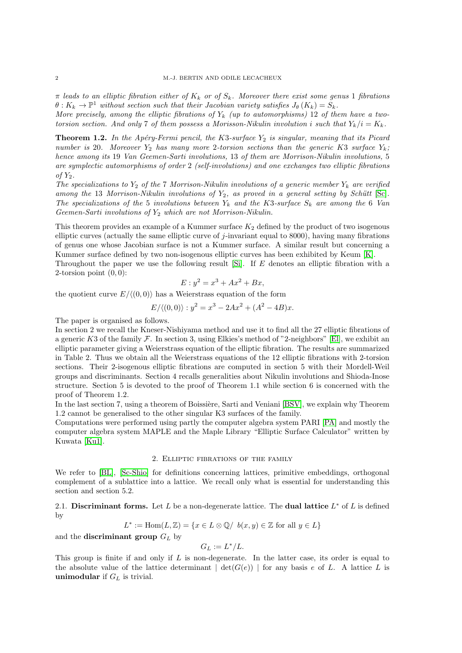$\pi$  leads to an elliptic fibration either of  $K_k$  or of  $S_k$ . Moreover there exist some genus 1 fibrations  $\theta: K_k \to \mathbb{P}^1$  without section such that their Jacobian variety satisfies  $J_{\theta}(K_k) = S_k$ .

More precisely, among the elliptic fibrations of  $Y_k$  (up to automorphisms) 12 of them have a twotorsion section. And only 7 of them possess a Morisson-Nikulin involution i such that  $Y_k/i = K_k$ .

**Theorem 1.2.** In the Apéry-Fermi pencil, the K3-surface  $Y_2$  is singular, meaning that its Picard number is 20. Moreover  $Y_2$  has many more 2-torsion sections than the generic K3 surface  $Y_k$ ; hence among its 19 Van Geemen-Sarti involutions, 13 of them are Morrison-Nikulin involutions, 5 are symplectic automorphisms of order 2 (self-involutions) and one exchanges two elliptic fibrations of  $Y_2$ .

The specializations to  $Y_2$  of the 7 Morrison-Nikulin involutions of a generic member  $Y_k$  are verified among the 13 Morrison-Nikulin involutions of  $Y_2$ , as proved in a general setting by Schütt [\[Sc\]](#page-28-7). The specializations of the 5 involutions between  $Y_k$  and the K3-surface  $S_k$  are among the 6 Van Geemen-Sarti involutions of  $Y_2$  which are not Morrison-Nikulin.

This theorem provides an example of a Kummer surface  $K_2$  defined by the product of two isogenous elliptic curves (actually the same elliptic curve of j-invariant equal to 8000), having many fibrations of genus one whose Jacobian surface is not a Kummer surface. A similar result but concerning a Kummer surface defined by two non-isogenous elliptic curves has been exhibited by Keum [\[K\]](#page-28-10).

Throughout the paper we use the following result [\[Si\]](#page-29-1). If E denotes an elliptic fibration with a 2-torsion point  $(0, 0)$ :

$$
E: y^2 = x^3 + Ax^2 + Bx,
$$

the quotient curve  $E/\langle(0, 0)\rangle$  has a Weierstrass equation of the form

$$
E/\langle (0,0) \rangle : y^2 = x^3 - 2Ax^2 + (A^2 - 4B)x.
$$

The paper is organised as follows.

In section 2 we recall the Kneser-Nishiyama method and use it to find all the 27 elliptic fibrations of a generic K3 of the family F. In section 3, using Elkies's method of "2-neighbors" [\[El\]](#page-28-11), we exhibit an elliptic parameter giving a Weierstrass equation of the elliptic fibration. The results are summarized in Table 2. Thus we obtain all the Weierstrass equations of the 12 elliptic fibrations with 2-torsion sections. Their 2-isogenous elliptic fibrations are computed in section 5 with their Mordell-Weil groups and discriminants. Section 4 recalls generalities about Nikulin involutions and Shioda-Inose structure. Section 5 is devoted to the proof of Theorem 1.1 while section 6 is concerned with the proof of Theorem 1.2.

In the last section 7, using a theorem of Boissière, Sarti and Veniani [\[BSV\]](#page-28-12), we explain why Theorem 1.2 cannot be generalised to the other singular K3 surfaces of the family.

Computations were performed using partly the computer algebra system PARI [\[PA\]](#page-28-13) and mostly the computer algebra system MAPLE and the Maple Library "Elliptic Surface Calculator" written by Kuwata [\[Ku1\]](#page-28-14).

### 2. Elliptic fibrations of the family

We refer to [\[BL\]](#page-28-8), [\[Sc-Shio\]](#page-28-15) for definitions concerning lattices, primitive embeddings, orthogonal complement of a sublattice into a lattice. We recall only what is essential for understanding this section and section 5.2.

2.1. Discriminant forms. Let L be a non-degenerate lattice. The dual lattice  $L^*$  of L is defined by

$$
L^* := \text{Hom}(L, \mathbb{Z}) = \{ x \in L \otimes \mathbb{Q} / \ b(x, y) \in \mathbb{Z} \text{ for all } y \in L \}
$$

and the discriminant group  $G_L$  by

$$
G_L := L^* / L.
$$

This group is finite if and only if  $L$  is non-degenerate. In the latter case, its order is equal to the absolute value of the lattice determinant  $\vert \det(G(e)) \vert$  for any basis e of L. A lattice L is unimodular if  $G_L$  is trivial.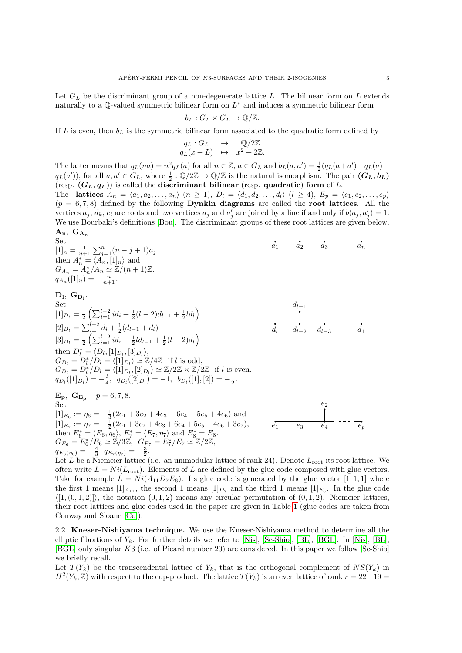Let  $G_L$  be the discriminant group of a non-degenerate lattice L. The bilinear form on L extends naturally to a Q-valued symmetric bilinear form on  $L^*$  and induces a symmetric bilinear form

$$
b_L: G_L \times G_L \to \mathbb{Q}/\mathbb{Z}.
$$

If L is even, then  $b<sub>L</sub>$  is the symmetric bilinear form associated to the quadratic form defined by

$$
\begin{array}{rcl}\n q_L: G_L & \to & \mathbb{Q}/2\mathbb{Z} \\
 q_L(x+L) & \mapsto & x^2 + 2\mathbb{Z}.\n \end{array}
$$

The latter means that  $q_L(na) = n^2 q_L(a)$  for all  $n \in \mathbb{Z}$ ,  $a \in G_L$  and  $b_L(a, a') = \frac{1}{2}(q_L(a + a') - q_L(a) - a_L(a))$  $q_L(a')$ , for all  $a, a' \in G_L$ , where  $\frac{1}{2} : \mathbb{Q}/2\mathbb{Z} \to \mathbb{Q}/\mathbb{Z}$  is the natural isomorphism. The pair  $(G_L, b_L)$ (resp.  $(G_L, q_L)$ ) is called the discriminant bilinear (resp. quadratic) form of L. The lattices  $A_n = \langle a_1, a_2, \ldots, a_n \rangle \ (n \geq 1), D_l = \langle d_1, d_2, \ldots, d_l \rangle \ (l \geq 4), E_p = \langle e_1, e_2, \ldots, e_p \rangle$  $(p = 6, 7, 8)$  defined by the following **Dynkin diagrams** are called the **root lattices**. All the vertices  $a_j, d_k, e_l$  are roots and two vertices  $a_j$  and  $a'_j$  are joined by a line if and only if  $b(a_j, a'_j) = 1$ . We use Bourbaki's definitions [\[Bou\]](#page-28-16). The discriminant groups of these root lattices are given below.

 $A_n$ ,  $G_{A_n}$ 

Set  $[1]_n = \frac{1}{n+1} \sum_{j=1}^n (n-j+1)a_j$ then  $A_n^* = \langle A_n, [1]_n \rangle$  and  $G_{A_n} = A_n^*/A_n \simeq \mathbb{Z}/(n+1)\mathbb{Z}.$  $q_{A_n}([1]_n) = -\frac{n}{n+1}.$ 

 $D_l, G_{D_l}.$ 

Set  
\n
$$
[1]_{D_l} = \frac{1}{2} \left( \sum_{i=1}^{l-2} id_i + \frac{1}{2}(l-2)d_{l-1} + \frac{1}{2}ld_l \right)
$$
\n
$$
[2]_{D_l} = \sum_{i=1}^{l-2} d_i + \frac{1}{2}(d_{l-1} + d_l)
$$
\n
$$
[3]_{D_l} = \frac{1}{2} \left( \sum_{i=1}^{l-2} id_i + \frac{1}{2}ld_{l-1} + \frac{1}{2}(l-2)d_l \right)
$$
\nthen  $D_l^* = \langle D_l, [1]_{D_l}, [3]_{D_l} \rangle$ ,  
\n $G_{D_l} = D_l^* / D_l = \langle [1]_{D_l} \rangle \simeq \mathbb{Z}/4\mathbb{Z}$  if  $l$  is odd,  
\n $G_{D_l} = D_l^* / D_l = \langle [1]_{D_l}, [2]_{D_l} \rangle \simeq \mathbb{Z}/2\mathbb{Z} \times \mathbb{Z}/2\mathbb{Z}$  if  $l$  is even.  
\n $q_{D_l}([1]_{D_l}) = -\frac{l}{4}$ ,  $q_{D_l}([2]_{D_l}) = -1$ ,  $b_{D_l}([1], [2]) = -\frac{1}{2}$ .

 $E_p$ ,  $G_{E_p}$   $p = 6, 7, 8$ . Set  $[1]_{E_6} := \eta_6 = -\frac{1}{3}(2e_1 + 3e_2 + 4e_3 + 6e_4 + 5e_5 + 4e_6)$  and

 $[1]_{E_7} := \eta_7 = -\frac{1}{2}(2e_1 + 3e_2 + 4e_3 + 6e_4 + 5e_5 + 4e_6 + 3e_7),$ then  $E_6^* = \langle E_6, \eta_6 \rangle$ ,  $E_7^* = \langle E_7, \eta_7 \rangle$  and  $E_8^* = E_8$ .  $G_{E_6} = E_6^* / E_6 \simeq \mathbb{Z}/3\mathbb{Z}, \ \ G_{E_7} = E_7^* / E_7 \simeq \mathbb{Z}/2\mathbb{Z},$  $q_{E_6(\eta_6)} = -\frac{4}{3} q_{E_7(\eta_7)} = -\frac{3}{2}.$ 



 $a_1$   $a_2$   $a_3$   $a_n$ 

 $e_1$   $e_3$   $e_4$   $e_5$  $e_2$ 

Let L be a Niemeier lattice (i.e. an unimodular lattice of rank 24). Denote  $L_{\text{root}}$  its root lattice. We often write  $L = Ni(L_{\text{root}})$ . Elements of L are defined by the glue code composed with glue vectors. Take for example  $L = Ni(A_{11}D_7E_6)$ . Its glue code is generated by the glue vector [1, 1, 1] where the first 1 means  $[1]_{A_{11}}$ , the second 1 means  $[1]_{D_7}$  and the third 1 means  $[1]_{E_6}$ . In the glue code  $\langle [1, (0, 1, 2)] \rangle$ , the notation  $(0, 1, 2)$  means any circular permutation of  $(0, 1, 2)$ . Niemeier lattices, their root lattices and glue codes used in the paper are given in Table [1](#page-3-0) (glue codes are taken from Conway and Sloane [\[Co\]](#page-28-17)).

2.2. Kneser-Nishiyama technique. We use the Kneser-Nishiyama method to determine all the elliptic fibrations of  $Y_k$ . For further details we refer to [\[Nis\]](#page-28-18), [\[Sc-Shio\]](#page-28-15), [\[BL\]](#page-28-8), [\[BGL\]](#page-28-19). In [Nis], [BL], [\[BGL\]](#page-28-19) only singular K3 (i.e. of Picard number 20) are considered. In this paper we follow [\[Sc-Shio\]](#page-28-15) we briefly recall.

Let  $T(Y_k)$  be the transcendental lattice of  $Y_k$ , that is the orthogonal complement of  $NS(Y_k)$  in  $H^2(Y_k, \mathbb{Z})$  with respect to the cup-product. The lattice  $T(Y_k)$  is an even lattice of rank  $r = 22-19 = 1$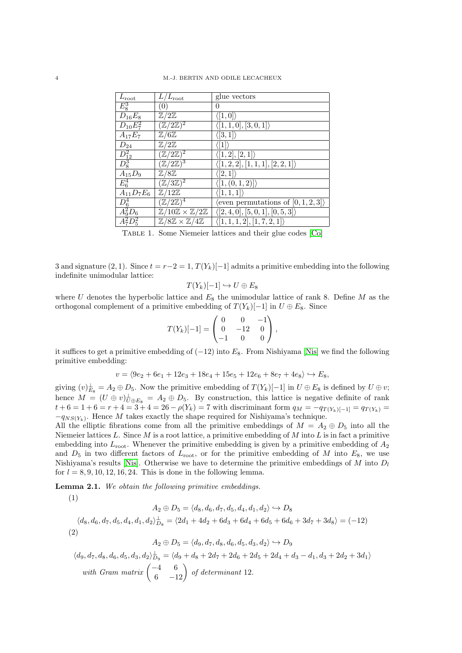<span id="page-3-0"></span>

| $L_{\text{root}}$        | $L/L_{\rm root}$                                        | glue vectors                                         |
|--------------------------|---------------------------------------------------------|------------------------------------------------------|
| $E_8^3$                  | $\left( 0\right)$                                       | 0                                                    |
| $D_{16}E_8$              | $\mathbb{Z}/2\mathbb{Z}$                                | $\langle [1,0] \rangle$                              |
| $D_{10}E_7^2$            | $(\overline{\mathbb{Z}/2\mathbb{Z})^2}$                 | $\langle [1,1,0],[3,0,1] \rangle$                    |
| $A_{17}E_7$              | $\mathbb{Z}/6\mathbb{Z}$                                | $\langle [3,1] \rangle$                              |
| $D_{24}$                 | $\mathbb{Z}/2\mathbb{Z}$                                | $\langle  1  \rangle$                                |
| $\frac{D_{12}^2}{D_8^3}$ | $(\mathbb{Z}/2\mathbb{Z})^2$                            | $\langle [1,2],[2,1] \rangle$                        |
|                          | $(\mathbb{Z}/2\mathbb{Z})^3$                            | $\langle [1,\overline{2,2],[1,1,1],[2,2,1]} \rangle$ |
| $A_{15}D_9$              | $\mathbb{Z}/8\mathbb{Z}$                                | $\langle [2,1] \rangle$                              |
| $\overline{E_6^4}$       | $(\mathbb{Z}/3\mathbb{Z})^2$                            | $\langle [1, (0, 1, 2)] \rangle$                     |
| $A_{11}D_7E_6$           | $\overline{\mathbb{Z}/12\mathbb{Z}}$                    | $\langle [1,1,1] \rangle$                            |
| $\overline{D}_6^4$       | $(\mathbb{Z}/2\mathbb{Z})^4$                            | (even permutations of $[0,1,2,3]$ )                  |
| $\overline{A_9^2D_6}$    | $\mathbb{Z}/10\mathbb{Z} \times \mathbb{Z}/2\mathbb{Z}$ | $\langle [2,4,0],[5,0,1],[0,5,3] \rangle$            |
| $A_7^2D_5^2$             | $\mathbb{Z}/8\mathbb{Z} \times \mathbb{Z}/4\mathbb{Z}$  | $\langle [1, 1, 1, 2], [1, 7, 2, 1] \rangle$         |

Table 1. Some Niemeier lattices and their glue codes [\[Co\]](#page-28-17)

3 and signature (2, 1). Since  $t = r-2 = 1$ ,  $T(Y_k)[-1]$  admits a primitive embedding into the following indefinite unimodular lattice:

$$
T(Y_k)[-1] \hookrightarrow U \oplus E_8
$$

where U denotes the hyperbolic lattice and  $E_8$  the unimodular lattice of rank 8. Define M as the orthogonal complement of a primitive embedding of  $T(Y_k)[-1]$  in  $U \oplus E_8$ . Since

$$
T(Y_k)[-1] = \begin{pmatrix} 0 & 0 & -1 \\ 0 & -12 & 0 \\ -1 & 0 & 0 \end{pmatrix},
$$

it suffices to get a primitive embedding of  $(-12)$  into  $E_8$ . From Nishiyama [\[Nis\]](#page-28-18) we find the following primitive embedding:

$$
v = \langle 9e_2 + 6e_1 + 12e_3 + 18e_4 + 15e_5 + 12e_6 + 8e_7 + 4e_8 \rangle \hookrightarrow E_8,
$$

giving  $(v)_{E_8}^{\perp} = A_2 \oplus D_5$ . Now the primitive embedding of  $T(Y_k)[-1]$  in  $U \oplus E_8$  is defined by  $U \oplus v$ ; hence  $M = (U \oplus v)_{U \oplus E_8}^{\perp} = A_2 \oplus D_5$ . By construction, this lattice is negative definite of rank  $t+6 = 1+6 = r+4 = 3+4 = 26 - \rho(Y_k) = 7$  with discriminant form  $q_M = -q_{T(Y_k)[-1]} = q_{T(Y_k)} =$  $-q_{NS(Y_k)}$ . Hence M takes exactly the shape required for Nishiyama's technique.

All the elliptic fibrations come from all the primitive embeddings of  $M = A_2 \oplus D_5$  into all the Niemeier lattices L. Since M is a root lattice, a primitive embedding of M into L is in fact a primitive embedding into  $L_{\text{root}}$ . Whenever the primitive embedding is given by a primitive embedding of  $A_2$ and  $D_5$  in two different factors of  $L_{\text{root}}$ , or for the primitive embedding of M into  $E_8$ , we use Nishiyama's results [\[Nis\]](#page-28-18). Otherwise we have to determine the primitive embeddings of M into  $D_l$ for  $l = 8, 9, 10, 12, 16, 24$ . This is done in the following lemma.

<span id="page-3-1"></span>Lemma 2.1. We obtain the following primitive embeddings.

(1)

 $A_2 \oplus D_5 = \langle d_8, d_6, d_7, d_5, d_4, d_1, d_2 \rangle \hookrightarrow D_8$  $\langle d_8, d_6, d_7, d_5, d_4, d_1, d_2 \rangle_{D_8}^{\perp} = \langle 2d_1 + 4d_2 + 6d_3 + 6d_4 + 6d_5 + 6d_6 + 3d_7 + 3d_8 \rangle = (-12)$ (2)  $A_2 \oplus D_5 = \langle d_9, d_7, d_8, d_6, d_5, d_3, d_2 \rangle \hookrightarrow D_9$ 

$$
\langle d_9, d_7, d_8, d_6, d_5, d_3, d_2 \rangle_{D_9}^{\perp} = \langle d_9 + d_8 + 2d_7 + 2d_6 + 2d_5 + 2d_4 + d_3 - d_1, d_3 + 2d_2 + 3d_1 \rangle
$$
  
with Gram matrix  $\begin{pmatrix} -4 & 6 \\ 6 & -12 \end{pmatrix}$  of determinant 12.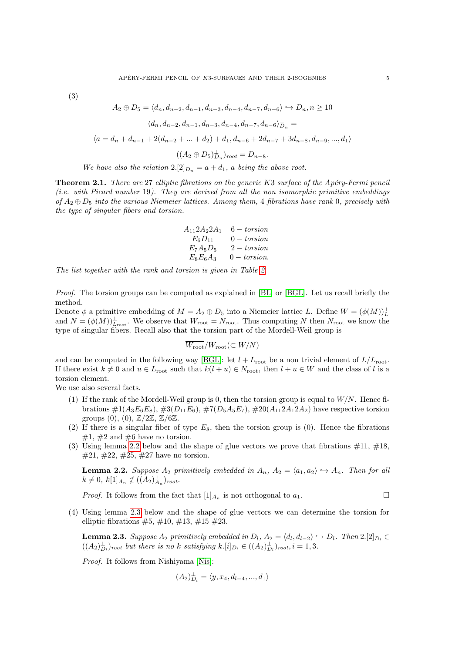(3)

$$
A_2 \oplus D_5 = \langle d_n, d_{n-2}, d_{n-1}, d_{n-3}, d_{n-4}, d_{n-7}, d_{n-6} \rangle \hookrightarrow D_n, n \ge 10
$$

$$
\langle d_n, d_{n-2}, d_{n-1}, d_{n-3}, d_{n-4}, d_{n-7}, d_{n-6} \rangle \frac{1}{D_n} =
$$

$$
\langle a = d_n + d_{n-1} + 2(d_{n-2} + \dots + d_2) + d_1, d_{n-6} + 2d_{n-7} + 3d_{n-8}, d_{n-9}, \dots, d_1 \rangle
$$

$$
((A_2 \oplus D_5)_{D_n}^{\perp})_{root} = D_{n-8}.
$$

We have also the relation  $2.[2]_{D_n} = a + d_1$ , a being the above root.

**Theorem 2.1.** There are 27 elliptic fibrations on the generic K3 surface of the Apéry-Fermi pencil (i.e. with Picard number 19). They are derived from all the non isomorphic primitive embeddings of  $A_2 \oplus D_5$  into the various Niemeier lattices. Among them, 4 fibrations have rank 0, precisely with the type of singular fibers and torsion.

$$
\begin{array}{ccc} A_{11}2A_22A_1 & 6-torsion \\ E_6D_{11} & 0-torsion \\ E_7A_5D_5 & 2-torsion \\ E_8E_6A_3 & 0-torsion. \end{array}
$$

The list together with the rank and torsion is given in Table [2.](#page-5-0)

Proof. The torsion groups can be computed as explained in [\[BL\]](#page-28-8) or [\[BGL\]](#page-28-19). Let us recall briefly the method.

Denote  $\phi$  a primitive embedding of  $M = A_2 \oplus D_5$  into a Niemeier lattice L. Define  $W = (\phi(M))_L^{\perp}$ and  $N = (\phi(M))_{L_{\text{root}}}^{\perp}$ . We observe that  $W_{\text{root}} = N_{\text{root}}$ . Thus computing N then  $N_{\text{root}}$  we know the type of singular fibers. Recall also that the torsion part of the Mordell-Weil group is

$$
\overline{W_{\text{\rm root}}}/W_{\text{\rm root}} (\subset W/N)
$$

and can be computed in the following way [\[BGL\]](#page-28-19): let  $l + L_{\text{root}}$  be a non trivial element of  $L/L_{\text{root}}$ . If there exist  $k \neq 0$  and  $u \in L_{\text{root}}$  such that  $k(l + u) \in N_{\text{root}}$ , then  $l + u \in W$  and the class of l is a torsion element.

We use also several facts.

- (1) If the rank of the Mordell-Weil group is 0, then the torsion group is equal to  $W/N$ . Hence fibrations  $\#1(A_3E_6E_8), \#3(D_{11}E_6), \#7(D_5A_5E_7), \#20(A_{11}2A_12A_2)$  have respective torsion groups  $(0)$ ,  $(0)$ ,  $\mathbb{Z}/2\mathbb{Z}$ ,  $\mathbb{Z}/6\mathbb{Z}$ .
- (2) If there is a singular fiber of type  $E_8$ , then the torsion group is (0). Hence the fibrations  $#1, #2$  and  $#6$  have no torsion.
- (3) Using lemma [2.2](#page-4-0) below and the shape of glue vectors we prove that fibrations  $\#11$ ,  $\#18$ ,  $\#21, \#22, \#25, \#27$  have no torsion.

<span id="page-4-0"></span>**Lemma 2.2.** Suppose  $A_2$  primitively embedded in  $A_n$ ,  $A_2 = \langle a_1, a_2 \rangle \hookrightarrow A_n$ . Then for all  $k \neq 0, k[1]_{A_n} \notin ((A_2)_{A_n}^{\perp})_{root}.$ 

*Proof.* It follows from the fact that  $[1]_{A_n}$  is not orthogonal to  $a_1$ .

(4) Using lemma [2.3](#page-4-1) below and the shape of glue vectors we can determine the torsion for elliptic fibrations  $#5, #10, #13, #15 #23.$ 

<span id="page-4-1"></span>**Lemma 2.3.** Suppose  $A_2$  primitively embedded in  $D_l$ ,  $A_2 = \langle d_l, d_{l-2} \rangle \hookrightarrow D_l$ . Then  $2.[2]_{D_l} \in$  $((A_2)_{D_l}^{\perp})_{root}$  but there is no k satisfying  $k.[i]_{D_l} \in ((A_2)_{D_l}^{\perp})_{root}$ ,  $i=1,3$ .

Proof. It follows from Nishiyama [\[Nis\]](#page-28-18):

$$
(A_2)_{D_l}^{\perp} = \langle y, x_4, d_{l-4}, ..., d_1 \rangle
$$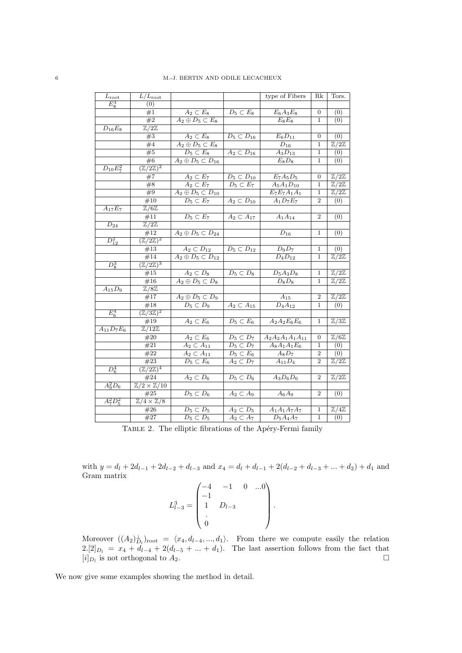<span id="page-5-0"></span>

| $L_{\rm root}$         | $L/L_{\rm root}$                     |                                            |                              | type of Fibers            | Rk                  | Tors.                               |
|------------------------|--------------------------------------|--------------------------------------------|------------------------------|---------------------------|---------------------|-------------------------------------|
| $E_8^3$                | $\bar{0}$                            |                                            |                              |                           |                     |                                     |
|                        | #1                                   | $A_2 \subset E_8$                          | $D_5 \subset E_8$            | $E_6A_3E_8$               | $\boldsymbol{0}$    | (0)                                 |
|                        | #2                                   | $A_2 \oplus D_5 \subset E_8$               |                              | $E_8E_8$                  | $\mathbf{1}$        | (0)                                 |
| $D_{16}E_8$            | $\overline{\mathbb{Z}/2\mathbb{Z}}$  |                                            |                              |                           |                     |                                     |
|                        | $\overline{43}$                      | $A_2 \subset E_8$                          | $D_5\subset D_{16}$          | $E_6D_{11}$               | $\overline{0}$      | (0)                                 |
|                        | #4                                   | $A_2 \oplus D_5 \subset E_8$               |                              | $\overline{D}_{16}$       | 1                   | $\mathbb{Z}/2\mathbb{Z}$            |
|                        | #5                                   | $D_5 \subset E_8$                          | $A_2 \subset D_{16}$         | $\overline{A_3D_{13}}$    | 1                   | (0)                                 |
|                        | #6                                   | $A_2 \oplus D_5 \subset D_{16}$            |                              | $E_8D_8$                  | $\mathbf{1}$        | (0)                                 |
| $D_{10}E_7^2$          | $(\mathbb{Z}/2\mathbb{Z})^2$         |                                            |                              |                           |                     |                                     |
|                        | #7                                   | $A_2 \subset E_7$                          | $D_5 \subset D_{10}$         | $E_7A_5D_5$               | 0                   | $\mathbb{Z}/2\mathbb{Z}$            |
|                        | #8                                   | $A_2 \subset E_7$                          | $D_5 \subset E_7$            | $A_5A_1D_{10}$            | 1                   | $\overline{\mathbb{Z}/2\mathbb{Z}}$ |
|                        | #9                                   | $\overline{A_2 \oplus D_5} \subset D_{10}$ |                              | $E_7E_7A_1A_1$            | $\mathbf 1$         | $\mathbb{Z}/2\mathbb{Z}$            |
|                        | #10                                  | $D_5 \subset E_7$                          | $A_2 \subset D_{10}$         | $A_1D_7E_7$               | $\overline{2}$      | (0)                                 |
| $A_{17}E_7$            | $\mathbb{Z}/6\mathbb{Z}$             |                                            |                              |                           |                     |                                     |
|                        | #11                                  | $D_5 \subset E_7$                          | $A_2 \subset A_{17}$         | $A_1A_{14}$               | $\overline{2}$      | (0)                                 |
| $D_{24}$               | $\mathbb{Z}/2\mathbb{Z}$             |                                            |                              |                           |                     |                                     |
|                        | #12                                  | $A_2 \oplus D_5 \subset D_{24}$            |                              | $D_{16}$                  | 1                   | (0)                                 |
| $D_{12}^2$             | $(\mathbb{Z}/2\mathbb{Z})^2$         |                                            |                              |                           |                     |                                     |
|                        | #13                                  | $A_2 \subset D_{12}$                       | $D_5 \subset D_{12}$         | $D_9D_7$                  | 1                   | (0)                                 |
|                        | #14                                  | $\overline{A_2 \oplus D_5 \subset D_{12}}$ |                              | $\overline{D_4D_{12}}$    | $\mathbf{1}$        | $\overline{\mathbb{Z}/2\mathbb{Z}}$ |
| $D_8^3$                | $(\mathbb{Z}/2\mathbb{Z})^3$         |                                            |                              |                           |                     |                                     |
|                        | #15                                  | $A_2 \subset D_8$                          | $D_5 \subset D_8$            | $D_5A_3D_8$               | 1                   | $\mathbb{Z}/2\mathbb{Z}$            |
|                        | #16                                  | $\overline{A_2 \oplus D_5} \subset D_8$    |                              | $D_8D_8$                  | 1                   | $\mathbb{Z}/2\mathbb{Z}$            |
| $\overline{A_{15}D_9}$ | $\overline{\mathbb{Z}/8\mathbb{Z}}$  |                                            |                              |                           |                     |                                     |
|                        | #17                                  | $\overline{A_2 \oplus D_5} \subset D_9$    |                              | $A_{15}$                  | $\overline{2}$      | $\mathbb{Z}/2\mathbb{Z}$            |
|                        | #18                                  | $D_5 \subset D_9$                          | $A_2 \subset A_{15}$         | $D_4A_{12}$               | 1                   | (0)                                 |
| $E_6^4$                | $(\mathbb{Z}/3\mathbb{Z})^2$         |                                            |                              |                           |                     |                                     |
|                        | #19                                  | $A_2 \subset E_6$                          | $D_5 \subset E_6$            | $A_2A_2E_6E_6$            | 1                   | $\mathbb{Z}/3\mathbb{Z}$            |
| $A_{11}D_7E_6$         | $\mathbb{Z}\overline{/12\mathbb{Z}}$ |                                            |                              |                           |                     |                                     |
|                        | #20                                  | $A_2 \subset E_6$                          | $D_5\subset D_7$             | $A_2A_2A_1A_1A_{11}$      | $\boldsymbol{0}$    | $\mathbb{Z}/6\mathbb{Z}$            |
|                        | #21                                  | $A_2 \subset A_{11}$                       | $D_5\subset D_7$             | $\overline{A_8A_1A_1E_6}$ | 1                   | (0)                                 |
|                        | #22                                  | $A_2 \subset A_{11}$                       | $D_5 \subset E_6$            | $A_8D_7$                  | 2<br>$\overline{2}$ | (0)                                 |
|                        | #23<br>$(\mathbb{Z}/2\mathbb{Z})^4$  | $D_5\subset E_6$                           | $A_2 \subset D_7$            | $A_{11}D_4$               |                     | $\mathbb{Z}/2\mathbb{Z}$            |
| $D_6^4$                | #24                                  |                                            |                              |                           | $\overline{2}$      |                                     |
| $A_9^2D_6$             | $\mathbb{Z}/2 \times \mathbb{Z}/10$  | $A_2 \subset \overline{D_6}$               | $D_5 \subset D_6$            | $A_3D_6D_6$               |                     | $\mathbb{Z}/2\mathbb{Z}$            |
|                        | #25                                  | $D_5\subset D_6$                           | $A_2 \subset A_9$            | $A_6A_9$                  | 2                   | (0)                                 |
| $A_7^2D_5^2$           | $\mathbb{Z}/4 \times \mathbb{Z}/8$   |                                            |                              |                           |                     |                                     |
|                        | #26                                  | $D_5\subset D_5$                           | $A_2\subset D_5$             | $A_1A_1A_7A_7$            | 1                   | $\mathbb{Z}/4\mathbb{Z}$            |
|                        | #27                                  | $D_5 \subset D_5$                          | $A_2 \subset \overline{A_7}$ | $\overline{D_5A_4A_7}$    | $\mathbf{1}$        | (0)                                 |
|                        |                                      |                                            |                              |                           |                     |                                     |

TABLE 2. The elliptic fibrations of the Apéry-Fermi family

with  $y = d_1 + 2d_{l-1} + 2d_{l-2} + d_{l-3}$  and  $x_4 = d_1 + d_{l-1} + 2(d_{l-2} + d_{l-3} + ... + d_2) + d_1$  and Gram matrix

$$
L_{l-3}^{3} = \begin{pmatrix} -4 & -1 & 0 & \dots 0 \\ -1 & & & \\ 1 & D_{l-3} & & \\ \vdots & & & \\ 0 & & & \end{pmatrix}.
$$

Moreover  $((A_2)_{D_l}^{\perp})_{\text{root}} = \langle x_4, d_{l-4}, ..., d_1 \rangle$ . From there we compute easily the relation  $2.[2]_{D_1} = x_4 + d_{l-4} + 2(d_{l-5} + ... + d_1).$  The last assertion follows from the fact that  $[i]_{D_l}$  is not orthogonal to  $A_2$ . is not orthogonal to  $A_2$ .

We now give some examples showing the method in detail.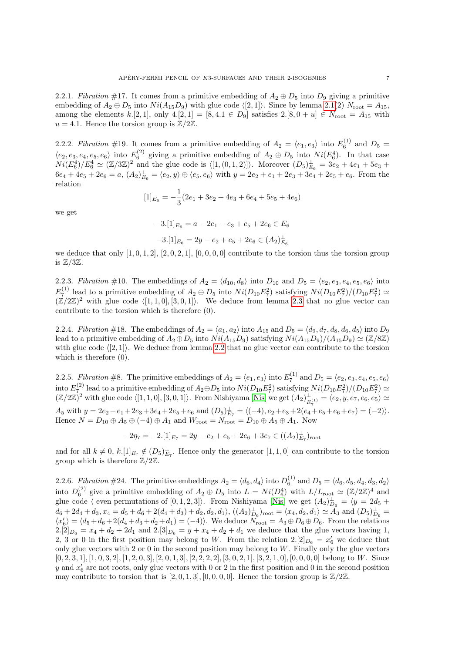2.2.1. Fibration #17. It comes from a primitive embedding of  $A_2 \oplus D_5$  into  $D_9$  giving a primitive embedding of  $A_2 \oplus D_5$  into  $Ni(A_{15}D_9)$  with glue code  $\langle [2, 1] \rangle$ . Since by lemma [2.1\(](#page-3-1)2)  $N_{\text{root}} = A_{15}$ , among the elements k.[2, 1], only  $4.[2, 1] = [8, 4.1 \in D_9]$  satisfies  $2.[8, 0 + u] \in N_{\text{root}} = A_{15}$  with  $u = 4.1$ . Hence the torsion group is  $\mathbb{Z}/2\mathbb{Z}$ .

2.2.2. Fibration #19. It comes from a primitive embedding of  $A_2 = \langle e_1, e_3 \rangle$  into  $E_6^{(1)}$  and  $D_5 =$  $\langle e_2, e_3, e_4, e_5, e_6 \rangle$  into  $E_6^{(2)}$  giving a primitive embedding of  $A_2 \oplus D_5$  into  $Ni(E_6^4)$ . In that case  $Ni(E_6^4)/E_6^4 \simeq (\mathbb{Z}/3\mathbb{Z})^2$  and the glue code is  $\langle [1,(0,1,2)] \rangle$ . Moreover  $(D_5)_{E_6}^{\perp} = 3e_2 + 4e_1 + 5e_3 +$  $6e_4 + 4e_5 + 2e_6 = a$ ,  $(A_2)_{E_6}^{\perp} = \langle e_2, y \rangle \oplus \langle e_5, e_6 \rangle$  with  $y = 2e_2 + e_1 + 2e_3 + 3e_4 + 2e_5 + e_6$ . From the relation

$$
[1]_{E_6} = -\frac{1}{3}(2e_1 + 3e_2 + 4e_3 + 6e_4 + 5e_5 + 4e_6)
$$

we get

$$
-3.[1]_{E_6} = a - 2e_1 - e_3 + e_5 + 2e_6 \in E_6
$$

$$
-3.[1]_{E_6} = 2y - e_2 + e_5 + 2e_6 \in (A_2)_{E_6}^{\perp}
$$

we deduce that only  $[1, 0, 1, 2]$ ,  $[2, 0, 2, 1]$ ,  $[0, 0, 0, 0]$  contribute to the torsion thus the torsion group is  $\mathbb{Z}/3\mathbb{Z}$ .

2.2.3. Fibration #10. The embeddings of  $A_2 = \langle d_{10}, d_8 \rangle$  into  $D_{10}$  and  $D_5 = \langle e_2, e_3, e_4, e_5, e_6 \rangle$  into  $E_7^{(1)}$  lead to a primitive embedding of  $A_2 \oplus D_5$  into  $Ni(D_{10}E_7^2)$  satisfying  $Ni(D_{10}E_7^2)/(D_{10}E_7^2) \simeq$  $(\mathbb{Z}/2\mathbb{Z})^2$  with glue code  $\langle [1, 1, 0], [3, 0, 1] \rangle$ . We deduce from lemma [2.3](#page-4-1) that no glue vector can contribute to the torsion which is therefore (0).

2.2.4. Fibration #18. The embeddings of  $A_2 = \langle a_1, a_2 \rangle$  into  $A_{15}$  and  $D_5 = \langle d_9, d_7, d_8, d_6, d_5 \rangle$  into  $D_9$ lead to a primitive embedding of  $A_2 \oplus D_5$  into  $Ni(A_{15}D_9)$  satisfying  $Ni(A_{15}D_9)/(A_{15}D_9) \simeq (\mathbb{Z}/8\mathbb{Z})$ with glue code  $\langle [2, 1] \rangle$ . We deduce from lemma [2.2](#page-4-0) that no glue vector can contribute to the torsion which is therefore (0).

2.2.5. Fibration #8. The primitive embeddings of  $A_2 = \langle e_1, e_3 \rangle$  into  $E_7^{(1)}$  and  $D_5 = \langle e_2, e_3, e_4, e_5, e_6 \rangle$  $\Gamma$  into  $E_7^{(2)}$  lead to a primitive embedding of  $A_2 \oplus D_5$  into  $Ni(D_{10}E_7^2)$  satisfying  $Ni(D_{10}E_7^2)/(D_{10}E_7^2) \simeq 1$  $(\mathbb{Z}/2\mathbb{Z})^2$  with glue code  $\langle [1, 1, 0], [3, 0, 1] \rangle$ . From Nishiyama [\[Nis\]](#page-28-18) we get  $(A_2)_{\overline{k}}^{\perp}$  $\frac{\mathbb{L}}{E_7^{(1)}} = \langle e_2, y, e_7, e_6, e_5 \rangle \simeq$ A<sub>5</sub> with  $y = 2e_2 + e_1 + 2e_3 + 3e_4 + 2e_5 + e_6$  and  $(D_5)_{E_7}^{\perp} = \langle (-4), e_2 + e_3 + 2(e_4 + e_5 + e_6 + e_7) = (-2) \rangle$ . Hence  $N = D_{10} \oplus A_5 \oplus (-4) \oplus A_1$  and  $W_{\text{root}} = N_{\text{root}} = D_{10} \oplus A_5 \oplus A_1$ . Now

$$
-2\eta_7 = -2.[1]_{E_7} = 2y - e_2 + e_5 + 2e_6 + 3e_7 \in ((A_2)_{E_7}^{\perp})_{\text{root}}
$$

and for all  $k \neq 0$ ,  $k.[1]_{E_7} \notin (D_5)^{\perp}_{E_7}$ . Hence only the generator  $[1,1,0]$  can contribute to the torsion group which is therefore  $\mathbb{Z}/2\mathbb{Z}$ .

2.2.6. Fibration #24. The primitive embeddings  $A_2 = \langle d_6, d_4 \rangle$  into  $D_6^{(1)}$  and  $D_5 = \langle d_6, d_5, d_4, d_3, d_2 \rangle$ into  $D_6^{(2)}$  give a primitive embedding of  $A_2 \oplus D_5$  into  $L = Ni(D_6^4)$  with  $L/L_{\text{root}} \simeq (\mathbb{Z}/2\mathbb{Z})^4$  and glue code  $\langle$  even permutations of  $[0, 1, 2, 3]$ . From Nishiyama [\[Nis\]](#page-28-18) we get  $(A_2)_{D_6}^{\perp} = \langle y = 2d_5 +$  $d_6 + 2d_4 + d_3$ ,  $x_4 = d_5 + d_6 + 2(d_4 + d_3) + d_2$ ,  $d_2$ ,  $d_1$ ),  $((A_2)_{D_6}^{\perp})_{\text{root}} = \langle x_4, d_2, d_1 \rangle \simeq A_3$  and  $(D_5)_{D_6}^{\perp} =$  $\langle x'_6 \rangle = \langle d_5 + d_6 + 2(d_4 + d_3 + d_2 + d_1) = (-4) \rangle$ . We deduce  $N_{\text{root}} = A_3 \oplus D_6 \oplus D_6$ . From the relations  $2.[2]_{D_6} = x_4 + d_2 + 2d_1$  and  $2.[3]_{D_6} = y + x_4 + d_2 + d_1$  we deduce that the glue vectors having 1, 2, 3 or 0 in the first position may belong to W. From the relation  $2.[2]_{D_6} = x'_6$  we deduce that only glue vectors with  $2$  or  $0$  in the second position may belong to  $W$ . Finally only the glue vectors  $[0, 2, 3, 1], [1, 0, 3, 2], [1, 2, 0, 3], [2, 0, 1, 3], [2, 2, 2, 2], [3, 0, 2, 1], [3, 2, 1, 0], [0, 0, 0, 0]$  belong to W. Since y and  $x'_6$  are not roots, only glue vectors with 0 or 2 in the first position and 0 in the second position may contribute to torsion that is  $[2, 0, 1, 3]$ ,  $[0, 0, 0, 0]$ . Hence the torsion group is  $\mathbb{Z}/2\mathbb{Z}$ .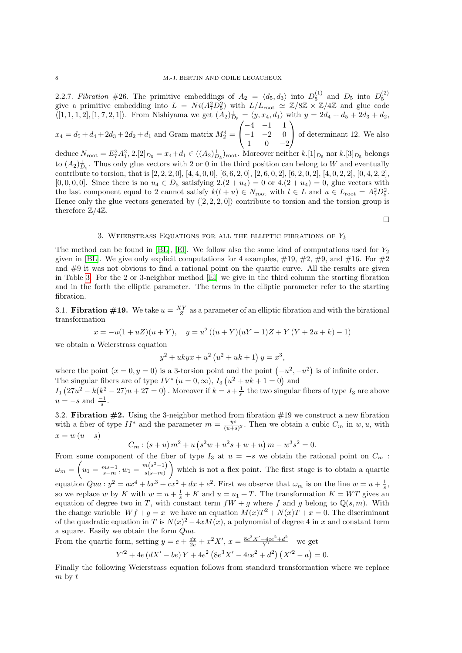2.2.7. Fibration #26. The primitive embeddings of  $A_2 = \langle d_5, d_3 \rangle$  into  $D_5^{(1)}$  and  $D_5$  into  $D_5^{(2)}$  give a primitive embedding into  $L = Ni(A_7^2D_5^2)$  with  $L/L_{\text{root}} \simeq \mathbb{Z}/8\mathbb{Z} \times \mathbb{Z}/4\mathbb{Z}$  and glue code  $\langle [1, 1, 1, 2], [1, 7, 2, 1] \rangle$ . From Nishiyama we get  $(A_2)_{D_5}^{\perp} = \langle y, x_4, d_1 \rangle$  with  $y = 2d_4 + d_5 + 2d_3 + d_2$ ,  $x_4 = d_5 + d_4 + 2d_3 + 2d_2 + d_1$  and Gram matrix  $M_2^4 =$  $\sqrt{ }$  $\overline{1}$  $-4$   $-1$  1  $-1$   $-2$  0 1 0 −2  $\setminus$  of determinant 12. We also deduce  $N_{\text{root}} = E_7^2 A_1^2$ ,  $2.[2]_{D_5} = x_4 + d_1 \in ((A_2)_{D_5}^{\perp})_{\text{root}}$ . Moreover neither  $k.[1]_{D_5}$  nor  $k.[3]_{D_5}$  belongs to  $(A_2)_{D_5}^{\perp}$ . Thus only glue vectors with 2 or 0 in the third position can belong to W and eventually

contribute to torsion, that is [2, 2, 2, 0], [4, 4, 0, 0], [6, 6, 2, 0], [2, 6, 0, 2], [6, 2, 0, 2], [4, 0, 2, 2], [0, 4, 2, 2], [0, 0, 0, 0]. Since there is no  $u_4 \in D_5$  satisfying  $2.(2 + u_4) = 0$  or  $4.(2 + u_4) = 0$ , glue vectors with the last component equal to 2 cannot satisfy  $k(l + u) \in N_{\text{root}}$  with  $l \in L$  and  $u \in L_{\text{root}} = A_7^2 D_5^2$ . Hence only the glue vectors generated by  $\langle [2, 2, 2, 0] \rangle$  contribute to torsion and the torsion group is therefore  $\mathbb{Z}/4\mathbb{Z}$ .

### $\Box$

# 3. WEIERSTRASS EQUATIONS FOR ALL THE ELLIPTIC FIBRATIONS OF  $Y_k$

The method can be found in [\[BL\]](#page-28-8), [\[El\]](#page-28-11). We follow also the same kind of computations used for  $Y_2$ given in [\[BL\]](#page-28-8). We give only explicit computations for 4 examples,  $\#19, \#2, \#9$ , and  $\#16$ . For  $\#2$ and  $#9$  it was not obvious to find a rational point on the quartic curve. All the results are given in Table [3.](#page-9-0) For the 2 or 3-neighbor method [\[El\]](#page-28-11) we give in the third column the starting fibration and in the forth the elliptic parameter. The terms in the elliptic parameter refer to the starting fibration.

3.1. **Fibration #19.** We take  $u = \frac{XY}{Z}$  as a parameter of an elliptic fibration and with the birational transformation

$$
x = -u(1 + uZ)(u + Y), \quad y = u^{2}((u + Y)(uY - 1)Z + Y(Y + 2u + k) - 1)
$$

we obtain a Weierstrass equation

$$
y^{2} + ukyx + u^{2} (u^{2} + uk + 1) y = x^{3},
$$

where the point  $(x = 0, y = 0)$  is a 3-torsion point and the point  $(-u^2, -u^2)$  is of infinite order. The singular fibers are of type  $IV^*(u=0,\infty)$ ,  $I_3(u^2+uk+1=0)$  and

 $I_1(27u^2 - k(k^2 - 27)u + 27 = 0)$ . Moreover if  $k = s + \frac{1}{s}$  the two singular fibers of type  $I_3$  are above  $u = -s$  and  $\frac{-1}{s}$ .

3.2. Fibration  $\#2$ . Using the 3-neighbor method from fibration  $\#19$  we construct a new fibration with a fiber of type  $II^*$  and the parameter  $m = \frac{ys}{(w + i)}$  $\frac{ys}{(u+s)^2}$ . Then we obtain a cubic  $C_m$  in  $w, u$ , with  $x = w(u + s)$ 

$$
C_m : (s+u) m2 + u (s2w + u2s + w + u) m - w3s2 = 0.
$$

From some component of the fiber of type  $I_3$  at  $u = -s$  we obtain the rational point on  $C_m$ :  $\omega_m = \left(u_1 = \frac{ms-1}{s-m}, w_1 = \frac{m(s^2-1)}{s(s-m)}\right)$  $s(s-m)$  which is not a flex point. The first stage is to obtain a quartic equation  $Qua : y^2 = ax^4 + bx^3 + cx^2 + dx + e^2$ . First we observe that  $\omega_m$  is on the line  $w = u + \frac{1}{s}$ , so we replace w by K with  $w = u + \frac{1}{s} + K$  and  $u = u_1 + T$ . The transformation  $K = WT$  gives an equation of degree two in T, with constant term  $fW + g$  where f and g belong to  $\mathbb{Q}(s, m)$ . With the change variable  $Wf + g = x$  we have an equation  $M(x)T^2 + N(x)T + x = 0$ . The discriminant of the quadratic equation in T is  $N(x)^2 - 4xM(x)$ , a polynomial of degree 4 in x and constant term a square. Easily we obtain the form Qua.

From the quartic form, setting  $y = e + \frac{dx}{2e} + x^2 X'$ ,  $x = \frac{8c^3 X' - 4ce^2 + d^2}{Y'}$  we get

$$
Y'^{2} + 4e (dX' - be) Y + 4e^{2} (8e^{3}X' - 4ce^{2} + d^{2}) (X'^{2} - a) = 0.
$$

Finally the following Weierstrass equation follows from standard transformation where we replace  $m$  by  $t$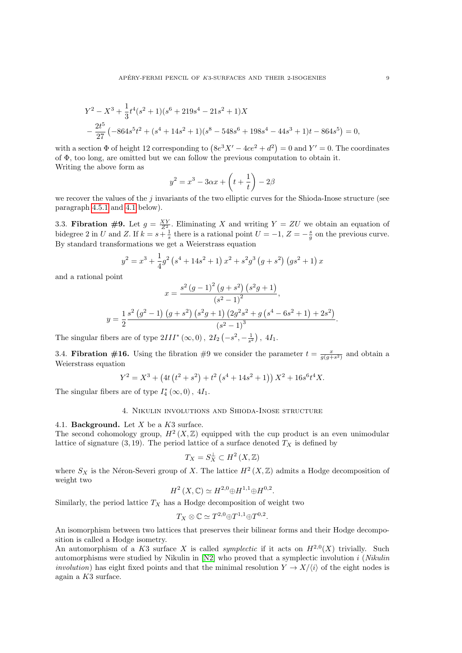$$
Y^{2} - X^{3} + \frac{1}{3}t^{4}(s^{2} + 1)(s^{6} + 219s^{4} - 21s^{2} + 1)X
$$
  

$$
-\frac{2t^{5}}{27}(-864s^{5}t^{2} + (s^{4} + 14s^{2} + 1)(s^{8} - 548s^{6} + 198s^{4} - 44s^{3} + 1)t - 864s^{5}) = 0,
$$

with a section  $\Phi$  of height 12 corresponding to  $(8e^3X' - 4ce^2 + d^2) = 0$  and  $Y' = 0$ . The coordinates of Φ, too long, are omitted but we can follow the previous computation to obtain it. Writing the above form as

$$
y^{2} = x^{3} - 3\alpha x + \left(t + \frac{1}{t}\right) - 2\beta
$$

we recover the values of the  $j$  invariants of the two elliptic curves for the Shioda-Inose structure (see paragraph [4.5.1](#page-14-0) and [4.1](#page-12-0) below).

3.3. **Fibration #9.** Let  $g = \frac{XY}{Z^2}$ . Eliminating X and writing  $Y = ZU$  we obtain an equation of bidegree 2 in U and Z. If  $k = s + \frac{1}{s}$  there is a rational point  $U = -1$ ,  $Z = -\frac{s}{g}$  on the previous curve. By standard transformations we get a Weierstrass equation

$$
y^{2} = x^{3} + \frac{1}{4}g^{2} (s^{4} + 14s^{2} + 1) x^{2} + s^{2} g^{3} (g + s^{2}) (gs^{2} + 1) x
$$

and a rational point

$$
x = \frac{s^2 (g-1)^2 (g+s^2) (s^2 g+1)}{(s^2-1)^2},
$$
  

$$
y = \frac{1}{2} \frac{s^2 (g^2-1) (g+s^2) (s^2 g+1) (2g^2 s^2 + g (s^4 - 6s^2 + 1) + 2s^2)}{(s^2-1)^3}.
$$

The singular fibers are of type  $2III^*(\infty,0)$ ,  $2I_2\left(-s^2,-\frac{1}{s^2}\right)$ ,  $4I_1$ .

3.4. **Fibration #16.** Using the fibration #9 we consider the parameter  $t = \frac{x}{g(g+s^2)}$  and obtain a Weierstrass equation

$$
Y^{2} = X^{3} + (4t(t^{2} + s^{2}) + t^{2}(s^{4} + 14s^{2} + 1)) X^{2} + 16s^{6}t^{4}X.
$$

The singular fibers are of type  $I_4^* (\infty, 0)$ ,  $4I_1$ .

# 4. Nikulin involutions and Shioda-Inose structure

# 4.1. **Background.** Let  $X$  be a  $K3$  surface.

The second cohomology group,  $H^2(X,\mathbb{Z})$  equipped with the cup product is an even unimodular lattice of signature (3, 19). The period lattice of a surface denoted  $T_X$  is defined by

$$
T_X=S_X^{\perp}\subset H^2\left(X,\mathbb{Z}\right)
$$

where  $S_X$  is the Néron-Severi group of X. The lattice  $H^2(X,\mathbb{Z})$  admits a Hodge decomposition of weight two

$$
H^2(X,\mathbb{C}) \simeq H^{2,0} \oplus H^{1,1} \oplus H^{0,2}
$$

.

.

Similarly, the period lattice  $T_X$  has a Hodge decomposition of weight two

$$
T_X\otimes\mathbb{C}\simeq T^{2,0}{\oplus}T^{1,1}{\oplus}T^{0,2}
$$

An isomorphism between two lattices that preserves their bilinear forms and their Hodge decomposition is called a Hodge isometry.

An automorphism of a K3 surface X is called *symplectic* if it acts on  $H^{2,0}(X)$  trivially. Such automorphisms were studied by Nikulin in  $[N2]$  who proved that a symplectic involution i (Nikulin involution) has eight fixed points and that the minimal resolution  $Y \to X/(i)$  of the eight nodes is again a K3 surface.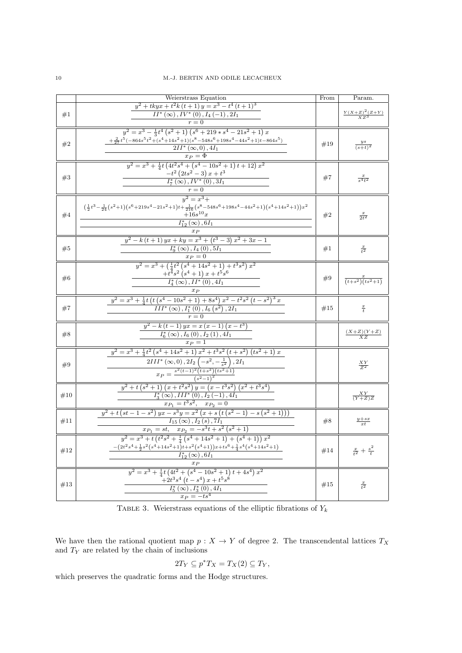<span id="page-9-0"></span>

|     | Weierstrass Equation                                                                                                                                                                                                                                            | From | Param.                        |
|-----|-----------------------------------------------------------------------------------------------------------------------------------------------------------------------------------------------------------------------------------------------------------------|------|-------------------------------|
|     | $\frac{y^2+tkyx+t^2k\left(t+1\right)y=x^3-t^4\left(t+1\right)^3}{II^*\left(\infty\right),IV^*\left(0\right),I_4\left(-1\right),2I_1}$                                                                                                                           |      |                               |
| #1  |                                                                                                                                                                                                                                                                 |      | $\frac{Y(X+Z)^2(Z+Y)}{XZ^3}$  |
|     |                                                                                                                                                                                                                                                                 |      |                               |
|     | $y^2 = x^3 - \frac{1}{2}t^4\left(s^2 + 1\right)\left(s^6 + 219*s^4 - 21s^2 + 1\right)x$                                                                                                                                                                         |      |                               |
| #2  | $+\frac{2}{27}t^5(-864s^5t^2+(s^4+14s^2+1)(s^8-548s^6+198s^4-44s^2+1)t-864s^5)$                                                                                                                                                                                 | #19  | $\frac{ys}{(s+t)^2}$          |
|     | $2II^*(\infty,0), 4I_1$                                                                                                                                                                                                                                         |      |                               |
|     | $\frac{x_P = \Phi}{y^2 = x^3 + \frac{1}{4}t\left(4t^2s^4 + \left(s^4 - 10s^2 + 1\right)t + 12\right)x^2}$                                                                                                                                                       |      |                               |
|     |                                                                                                                                                                                                                                                                 |      |                               |
| #3  |                                                                                                                                                                                                                                                                 | #7   | $rac{x}{s^4t^2}$              |
|     | $\frac{\left(-t^2\left(2ts^2-3\right)x+t^3\right)}{\frac{I_7^*}{7}(\infty),IV^*\left(0\right),3I_1}\n n=0$                                                                                                                                                      |      |                               |
|     | $y^2 = x^3 +$                                                                                                                                                                                                                                                   |      |                               |
|     | $\big(\tfrac{1}{2}t^3 - \tfrac{1}{24}\big(s^2 + 1\big)\big(s^6 + 219s^4 - 21s^2 + 1\big)t + \tfrac{1}{216}\big(s^8 - 548s^6 + 198s^4 - 44s^2 + 1\big)\big(s^4 + 14s^2 + 1\big)\big)x^2$                                                                         |      |                               |
| #4  | $+16s^{10}x$                                                                                                                                                                                                                                                    | #2   | $rac{x}{2t^2}$                |
|     | $I_{12}^*(\infty)$ , 6 $I_1$                                                                                                                                                                                                                                    |      |                               |
|     | $x_P$                                                                                                                                                                                                                                                           |      |                               |
|     | $y^2 - k(t+1) yx + ky = x^3 + (t^3 - 3) x^2 + 3x - 1$                                                                                                                                                                                                           |      |                               |
| #5  | $I_9^*\left(\infty\right)$ , $I_4\left(0\right)$ , $5I_1$                                                                                                                                                                                                       | #1   | $rac{x}{t^2}$                 |
|     | $\frac{x_P = 0}{y^2 = x^3 + (\frac{1}{4}t^2\left(s^4 + 14s^2 + 1\right) + t^3s^2)\,x^2}$                                                                                                                                                                        |      |                               |
|     |                                                                                                                                                                                                                                                                 |      |                               |
| #6  | $\frac{+t^{\frac{3}{4}}s^2(s^4+1)x+t^{5}s^6}{I_4^*(\infty),II^*(0),4I_1}$                                                                                                                                                                                       | #9   | $\frac{x}{(t+s^2)(ts^2+1)}$   |
|     |                                                                                                                                                                                                                                                                 |      |                               |
|     |                                                                                                                                                                                                                                                                 |      |                               |
| #7  | $\frac{y^2 = x^3 + \frac{1}{4} t \left(t \left(s^4-10 s^2+1\right)+8 s^4\right) x^2 - t^2 s^2 \left(t-s^2\right)^3 x}{III^* \left(\infty\right), I_1^* \left(0\right), I_6 \left(s^2\right), 2 I_1}$                                                            | #15  | $\frac{x}{t}$                 |
|     | $r=0$                                                                                                                                                                                                                                                           |      |                               |
|     | $y^{2} - k(t-1) yx = x(x - 1)(x - t^{3})$                                                                                                                                                                                                                       |      |                               |
| #8  | $I_6^*(\infty)$ , $I_6(0)$ , $I_2(1)$ , $4I_1$                                                                                                                                                                                                                  |      | $\frac{(X+Z)(Y+Z)}{XZ}$       |
|     | $x_P = 1$                                                                                                                                                                                                                                                       |      |                               |
|     | $y^2 = x^3 + \frac{1}{4}t^2\left(s^4 + 14s^2 + 1\right)x^2 + t^3s^2\left(t + s^2\right)\left(ts^2 + 1\right)x$                                                                                                                                                  |      |                               |
| #9  |                                                                                                                                                                                                                                                                 |      | $\frac{XY}{Z^2}$              |
|     | $\frac{2III^*\left(\infty,0\right),2I_2\left(-s^2,-\frac{1}{s^2}\right),2I_1}{x_P=\frac{s^2(t-1)^2\left(t+s^2\right)\left(ts^2+1\right)}{\left(s^2-1\right)^2}}$                                                                                                |      |                               |
|     |                                                                                                                                                                                                                                                                 |      |                               |
|     | $\frac{y^2+t(s^2+1)(x+t^2s^2)y}{(x-t^3s^2)(x^2+t^3s^4)}$                                                                                                                                                                                                        |      |                               |
| #10 |                                                                                                                                                                                                                                                                 |      | $\frac{XY}{(Y+Z)Z}$           |
|     | $\frac{r_3^*(\infty), III^*(0), I_2(-1), 4I_1}{x_{P_1} = t^3 s^2, \quad x_{P_2} = 0}$<br>$\frac{y^2 + t \left(st - 1 - s^2\right) yx - s^3 y = x^2 \left(x + s \left(t \left(s^2 - 1\right) - s \left(s^2 + 1\right)\right)\right)}{x_{P_1} + x_{P_2} + s^2 y}$ |      |                               |
| #11 | $I_{15}(\infty)$ , $I_{2}(s)$ , 7 $I_{1}$                                                                                                                                                                                                                       | #8   | $y + sx$                      |
|     |                                                                                                                                                                                                                                                                 |      | $_{xt}$                       |
|     | $\frac{x_{P_1} = st, \quad x_{P_2} = -s^3t + s^2\left(s^2 + 1\right)}{y^2 - x^3 + t\left(t^2s^2 + \frac{1}{4}\left(s^4 + 14s^2 + 1\right) + \left(s^4 + 1\right)\right)x^2}$                                                                                    |      |                               |
|     | $-\big(2t^2 s^4 + \tfrac{1}{2} s^2 \big(s^4 + 14 s^2 + 1\big) t + s^2 \big(s^4 + 1\big)\big) x + t s^6 + \tfrac{1}{4} s^4 \big(s^4 + 14 s^2 + 1\big)$                                                                                                           |      |                               |
| #12 | $I_{12}^*(\infty)$ , 6 $I_1$                                                                                                                                                                                                                                    | #14  | $rac{x}{t^2} + \frac{s^2}{t}$ |
|     | $x_P$                                                                                                                                                                                                                                                           |      |                               |
|     | $y^2 = x^3 + \frac{1}{4}t\left(4t^2 + \left(s^4 - 10s^2 + 1\right)t + 4s^4\right)x^2$                                                                                                                                                                           |      |                               |
| #13 | $\frac{1}{1+2t^3s^4(t-s^4)x+t^5s^8}$<br>$I_5^*(\infty)$ , $I_3^*(0)$ , $4I_1$                                                                                                                                                                                   | #15  | $rac{x}{t^2}$                 |
|     |                                                                                                                                                                                                                                                                 |      |                               |
|     | $\overline{x_P = -ts^4}$                                                                                                                                                                                                                                        |      |                               |

TABLE 3. Weierstrass equations of the elliptic fibrations of  $Y_k$ 

We have then the rational quotient map  $p : X \to Y$  of degree 2. The transcendental lattices  $T_X$ and  $T_Y$  are related by the chain of inclusions

$$
2T_Y \subseteq p^*T_X = T_X(2) \subseteq T_Y,
$$

which preserves the quadratic forms and the Hodge structures.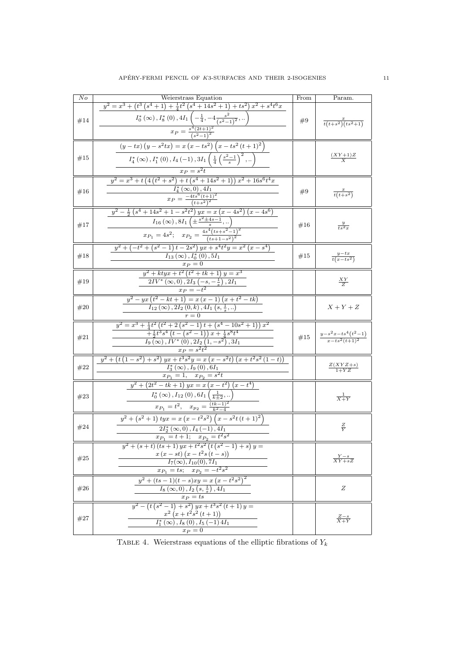| No  | Weierstrass Equation                                                                                                                                                         | From | Param.                                            |
|-----|------------------------------------------------------------------------------------------------------------------------------------------------------------------------------|------|---------------------------------------------------|
|     | $y^2 = x^3 + (t^3 (s^4 + 1) + \frac{1}{4}t^2 (s^4 + 14s^2 + 1) + ts^2) x^2 + s^4 t^6 x$                                                                                      |      |                                                   |
|     |                                                                                                                                                                              |      |                                                   |
| #14 |                                                                                                                                                                              | #9   | $\frac{x}{t(t+s^2)(ts^2+1)}$                      |
|     | $I_0^*(\infty)$ , $I_8^*(0)$ , $4I_1\left(-\frac{1}{4}, -4\frac{s^2}{(s^2-1)^2}, \right)$<br>$x_P = \frac{s^4(2t+1)^2}{(s^2-1)^2}$                                           |      |                                                   |
|     | $(y - tx) (y - s2tx) = x (x - ts2) (x - ts2 (t + 1)2)$                                                                                                                       |      |                                                   |
|     |                                                                                                                                                                              |      |                                                   |
| #15 | $I_{4}^{*}(\infty)$ , $I_{1}^{*}(0)$ , $I_{4}(-1)$ , $3I_{1}\left(\frac{1}{4}\left(\frac{s^{2}-1}{s}\right)^{2}$ , )                                                         |      | $\frac{(XY+1)Z}{Y}$                               |
|     | $x_P = s^2t$                                                                                                                                                                 |      |                                                   |
|     | $\frac{y^2-x^3+t(4(t^2+s^2)+t(s^4+14s^2+1))x^2+16s^6t^4x}{x^2+16t^6+16s^6t^4}$                                                                                               |      |                                                   |
| #16 |                                                                                                                                                                              | #9   | $rac{x}{t(t+s^2)}$                                |
|     | $\frac{I_4^* (\infty, 0), 4I_1}{x_P = \frac{-4ts^6 (t+1)^2}{(t+s^2)^2}}$                                                                                                     |      |                                                   |
|     | $y^2 - \frac{1}{2}(s^4 + 14s^2 + 1 - s^2t^2)$ $yx = x(x - 4s^2)(x - 4s^6)$                                                                                                   |      |                                                   |
|     | $I_{16} (\infty), 8I_1 \left(\pm \frac{s^2 \pm 4s - 1}{s}, \ldots \right)$                                                                                                   |      |                                                   |
| #17 | $x_{P_1} = 4s^2$ ; $x_{P_2} = \frac{4s^4(ts + s^2 - 1)^2}{(ts + 1 - s^2)^2}$                                                                                                 | #16  | $\frac{y}{ts^2x}$                                 |
|     |                                                                                                                                                                              |      |                                                   |
|     | $y^2 + \left(-t^2 + \left(s^2 - 1\right)t - 2s^2\right) yx + s^4t^2y = x^2\left(x - s^4\right)$                                                                              |      |                                                   |
| #18 | $\frac{I_{13}(\infty)$ , $I_0^*(0)$ , $5I_1$<br>$x_P = 0$                                                                                                                    | #15  | $\frac{y-tx}{t(x-ts^2)}$                          |
|     |                                                                                                                                                                              |      |                                                   |
| #19 | $y^2 + ktyx + t^2(t^2 + tk + 1)y = x^3$                                                                                                                                      |      | $\frac{XY}{Z}$                                    |
|     | $\frac{2IV^{*}\left(\infty,0\right),2I_{3}\left(-s,-\frac{1}{s}\right),2I_{1}}{x_{P}=-t^{2}}$                                                                                |      |                                                   |
|     | $\sqrt{y^2-yx(t^2-kt+1)} = x(x-1)(x+t^2-tk)$                                                                                                                                 |      |                                                   |
| #20 | $I_{12}\left(\infty\right), 2I_{2}\left(0,k\right), 4I_{1}\left(s,\frac{1}{s},\ldots\right)$                                                                                 |      | $X+Y+Z$                                           |
|     |                                                                                                                                                                              |      |                                                   |
|     | $y^2 = x^3 + \frac{1}{4}t^2\left(t^2 + 2\left(s^2 - 1\right)t + \left(s^4 - 10s^2 + 1\right)\right)x^2$                                                                      |      |                                                   |
| #21 | $\frac{\frac{4}{7} \div \frac{1}{5} t^3 s^4 \left(t - (s^2 - 1)\right) x + \frac{1}{4} s^8 t^4}{I_9\left(\infty\right), IV^*\left(0\right), 2I_2\left(1, -s^2\right), 3I_1}$ |      | $\#15$ $\frac{y-s^2x-ts^4(t^2-1)}{x-ts^2(t+1)^2}$ |
|     | $\frac{1}{x_P = s^2 t^2}$                                                                                                                                                    |      |                                                   |
|     | $y^{2} + (t(1 - s^{2}) + s^{2})yx + t^{3}s^{2}y = x(x - s^{2}t)(x + t^{2}s^{2}(1 - t))$                                                                                      |      |                                                   |
| #22 | $I_3^*\left(\infty\right)$ , $I_9\left(0\right)$ , $6I_1$                                                                                                                    |      | $\frac{Z(XYZ+s)}{1+YZ}$                           |
|     | $x_{P_1} = 1, \quad x_{P_2} = s^2 t$                                                                                                                                         |      |                                                   |
|     | $\sqrt{y^2 + (2t^2 - tk + 1) yx = x (x - t^2) (x - t^4)}$                                                                                                                    |      |                                                   |
| #23 | $I_0^* (\infty)$ , $I_{12} (0)$ , $6I_1 \left( \frac{1}{k \pm 2}, \ldots \right)$                                                                                            |      | $\frac{1}{X+Y}$                                   |
|     | $x_{P_1} = t^2$ , $x_{p_2} = \frac{(tk-1)^2}{k^2-4}$                                                                                                                         |      |                                                   |
|     | $y^{2} + (s^{2} + 1)$ tyx = x $(x - t^{2} s^{2}) (x - s^{2} t (t + 1)^{2})$                                                                                                  |      |                                                   |
| #24 | $2I_{2}^{*}(\infty,0), I_{4}(-1), 4I_{1}$                                                                                                                                    |      | $\frac{Z}{Y}$                                     |
|     | $x_{P_1} = t + 1; \quad x_{P_2} = t^2 s^2$                                                                                                                                   |      |                                                   |
|     | $y^{2} + (s + t) (ts + 1) yx + t^{2}s^{2} (t (s^{2} - 1) + s) y =$                                                                                                           |      |                                                   |
| #25 | $x(x - st) (x - t^2 s (t - s))$                                                                                                                                              |      | $\frac{Y-s}{XY+sZ}$                               |
|     | $I_7(\infty)$ , $I_{10}(0)$ , $7I_1$                                                                                                                                         |      |                                                   |
|     | $x_{P_1} = ts;$ $x_{P_2} = -t^2 s^2$                                                                                                                                         |      |                                                   |
| #26 | $\frac{y^2 + (ts-1)(t-s)xy = x (x - t^2 s^2)^2}{I_8(\infty, 0), I_2(s, \frac{1}{s}), 4I_1}$                                                                                  |      | Ζ                                                 |
|     | $x_P = ts$                                                                                                                                                                   |      |                                                   |
|     | $y^{2} - (t(s^{2} - 1) + s^{2})yx + t^{3}s^{2}(t+1)y =$                                                                                                                      |      |                                                   |
| #27 | $x^2(x+t^2s^2(t+1))$                                                                                                                                                         |      | $\frac{Z-s}{X+Y}$                                 |
|     | $I_1^*(\infty)$ , $I_8(0)$ , $I_5(-1)$ $4I_1$                                                                                                                                |      |                                                   |
|     | $x_P=0$                                                                                                                                                                      |      |                                                   |

TABLE 4. Weierstrass equations of the elliptic fibrations of  $Y_k$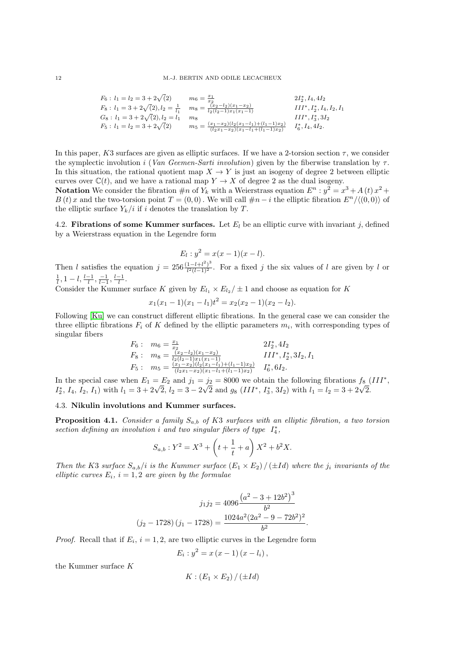#### 12 M.-J. BERTIN AND ODILE LECACHEUX

$$
F_6: l_1 = l_2 = 3 + 2\sqrt{2}
$$
  
\n
$$
F_8: l_1 = 3 + 2\sqrt{2}, l_2 = \frac{1}{l_1}
$$
  
\n
$$
G_8: l_1 = 3 + 2\sqrt{2}, l_2 = l_1
$$
  
\n
$$
F_9: l_1 = 3 + 2\sqrt{2}, l_2 = l_1
$$
  
\n
$$
F_1: l_1 = 3 + 2\sqrt{2}, l_2 = l_1
$$
  
\n
$$
F_2: l_1 = l_2 = 3 + 2\sqrt{2}
$$
  
\n
$$
F_3: l_1 = l_2 = 3 + 2\sqrt{2}
$$
  
\n
$$
F_4: l_1 = l_2
$$
  
\n
$$
F_5: l_1 = l_2 = 3 + 2\sqrt{2}
$$
  
\n
$$
F_6: l_1 = l_2 = 3 + 2\sqrt{2}
$$
  
\n
$$
F_7: l_1 = l_2 = 3 + 2\sqrt{2}
$$
  
\n
$$
F_8: l_1 = l_2 = 3 + 2\sqrt{2}
$$
  
\n
$$
F_9: l_1 = l_2 = 3 + 2\sqrt{2}
$$
  
\n
$$
F_9: l_1 = l_2 = 3 + 2\sqrt{2}
$$
  
\n
$$
F_1: l_1 = l_2 = 3 + 2\sqrt{2}
$$
  
\n
$$
F_2: l_1 = l_2 = 3 + 2\sqrt{2}
$$
  
\n
$$
F_3: l_1 = l_2 = 3 + 2\sqrt{2}
$$
  
\n
$$
F_4: l_1 = l_2 = 3 + 2\sqrt{2}
$$
  
\n
$$
F_5: l_1 = l_2 = 3 + 2\sqrt{2}
$$
  
\n
$$
F_6: l_1 = l_2 = 3 + 2\sqrt{2}
$$
  
\n
$$
F_7: l_1 = l_2 = 3 + 2\sqrt{2}
$$
  
\n
$$
F_8: l_1 = l_2 = 3 + 2\sqrt{2}
$$
  
\n
$$
F_9: l_1 = l_2 = 3 + 2\sqrt{2}
$$

In this paper, K3 surfaces are given as elliptic surfaces. If we have a 2-torsion section  $\tau$ , we consider the symplectic involution i (Van Geemen-Sarti involution) given by the fiberwise translation by  $\tau$ . In this situation, the rational quotient map  $X \to Y$  is just an isogeny of degree 2 between elliptic curves over  $\mathbb{C}(t)$ , and we have a rational map  $Y \to X$  of degree 2 as the dual isogeny.

**Notation** We consider the fibration  $\#n$  of  $Y_k$  with a Weierstrass equation  $E^n : y^2 = x^3 + A(t)x^2 +$ B (t) x and the two-torsion point  $T = (0, 0)$ . We will call  $\#n-i$  the elliptic fibration  $E^n/\langle (0, 0) \rangle$  of the elliptic surface  $Y_k/i$  if i denotes the translation by T.

4.2. Fibrations of some Kummer surfaces. Let  $E_l$  be an elliptic curve with invariant j, defined by a Weierstrass equation in the Legendre form

$$
E_l: y^2 = x(x-1)(x-l).
$$

Then l satisfies the equation  $j = 256 \frac{(1 - l + l^2)^3}{l^2 (l-1)^2}$  $\frac{1-l+1}{l^2(l-1)^2}$ . For a fixed j the six values of l are given by l or  $\frac{1}{l}, 1-l, \frac{l-1}{l}, \frac{-1}{l-1}, \frac{l-1}{l}.$ 

Consider the Kummer surface K given by  $E_{l_1} \times E_{l_2} / \pm 1$  and choose as equation for K

$$
x_1(x_1-1)(x_1-l_1)t^2 = x_2(x_2-1)(x_2-l_2).
$$

Following [\[Ku\]](#page-28-21) we can construct different elliptic fibrations. In the general case we can consider the three elliptic fibrations  $F_i$  of K defined by the elliptic parameters  $m_i$ , with corresponding types of singular fibers

$$
F_6: \t m_6 = \frac{x_1}{x_2}
$$
  
\n
$$
F_8: \t m_8 = \frac{(x_2 - l_2)(x_1 - x_2)}{l_2(l_2 - 1)x_1(x_1 - 1)}
$$
  
\n
$$
F_5: \t m_5 = \frac{(x_1 - x_2)(l_2(x_1 - l_1) + (l_1 - 1)x_2)}{(l_2x_1 - x_2)(x_1 - l_1 + (l_1 - 1)x_2)}
$$
  
\n
$$
I_6^*, 6I_2.
$$

In the special case when  $E_1 = E_2$  and  $j_1 = j_2 = 8000$  we obtain the following fibrations  $f_8$  (III<sup>\*</sup>, In the special case when  $E_1 = E_2$  and  $j_1 = I_2^*$ ,  $I_4$ ,  $I_2$ ,  $I_1$ ) with  $l_1 = 3 + 2\sqrt{2}$ ,  $l_2 = 3 - 2$  $y_2 = 8000$  we obtain the following fibrations  $J_8$  (<br> $\sqrt{2}$  and  $g_8$  (*III*<sup>\*</sup>,  $I_3^*$ , 3*I*<sub>2</sub>) with  $l_1 = l_2 = 3 + 2\sqrt{2}$ .

# 4.3. Nikulin involutions and Kummer surfaces.

<span id="page-11-0"></span>**Proposition 4.1.** Consider a family  $S_{a,b}$  of K3 surfaces with an elliptic fibration, a two torsion section defining an involution  $i$  and two singular fibers of type  $I_4^*$ ,

$$
S_{a,b}: Y^{2} = X^{3} + \left(t + \frac{1}{t} + a\right)X^{2} + b^{2}X.
$$

Then the K3 surface  $S_{a,b}/i$  is the Kummer surface  $(E_1 \times E_2) / (\pm Id)$  where the j<sub>i</sub> invariants of the elliptic curves  $E_i$ ,  $i = 1, 2$  are given by the formulae

$$
j_1 j_2 = 4096 \frac{\left(a^2 - 3 + 12b^2\right)^3}{b^2}
$$

$$
(j_2 - 1728) (j_1 - 1728) = \frac{1024a^2(2a^2 - 9 - 72b^2)^2}{b^2}.
$$

*Proof.* Recall that if  $E_i$ ,  $i = 1, 2$ , are two elliptic curves in the Legendre form

$$
E_i : y^2 = x (x - 1) (x - l_i),
$$

the Kummer surface K

$$
K:\left(E_{1}\times E_{2}\right)/\left(\pm Id\right)
$$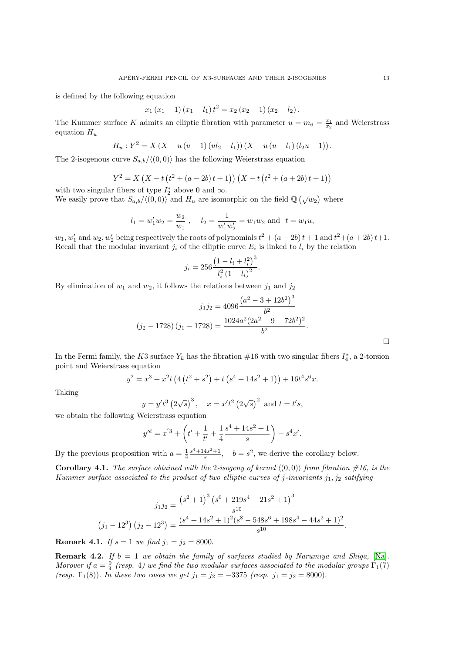is defined by the following equation

$$
x_1(x_1-1)(x_1-l_1)t^2 = x_2(x_2-1)(x_2-l_2).
$$

The Kummer surface K admits an elliptic fibration with parameter  $u = m_6 = \frac{x_1}{x_2}$  and Weierstrass equation  $H_u$ 

$$
H_u: Y^2 = X (X - u (u - 1) (u l_2 - l_1)) (X - u (u - l_1) (l_2 u - 1)).
$$

The 2-isogenous curve  $S_{a,b}/\langle(0, 0)\rangle$  has the following Weierstrass equation

$$
Y^{2} = X \left(X - t \left(t^{2} + (a - 2b)t + 1\right)\right) \left(X - t \left(t^{2} + (a + 2b)t + 1\right)\right)
$$

with two singular fibers of type  $I_2^*$  above 0 and  $\infty$ . We easily prove that  $S_{a,b}/\langle (0,0) \rangle$  and  $H_u$  are isomorphic on the field  $\mathbb{Q}(\sqrt{w_2})$  where

$$
l_1 = w'_1 w_2 = \frac{w_2}{w_1}
$$
,  $l_2 = \frac{1}{w'_1 w'_2} = w_1 w_2$  and  $t = w_1 u$ ,

 $w_1, w_1'$  and  $w_2, w_2'$  being respectively the roots of polynomials  $t^2 + (a - 2b)t + 1$  and  $t^2 + (a + 2b)t + 1$ . Recall that the modular invariant  $j_i$  of the elliptic curve  $E_i$  is linked to  $l_i$  by the relation

$$
j_i = 256 \frac{\left(1 - l_i + l_i^2\right)^3}{l_i^2 \left(1 - l_i\right)^2}.
$$

By elimination of  $w_1$  and  $w_2$ , it follows the relations between  $j_1$  and  $j_2$ 

$$
j_1 j_2 = 4096 \frac{\left(a^2 - 3 + 12b^2\right)^3}{b^2}
$$

$$
(j_2 - 1728)(j_1 - 1728) = \frac{1024a^2(2a^2 - 9 - 72b^2)^2}{b^2}.
$$

In the Fermi family, the K3 surface  $Y_k$  has the fibration #16 with two singular fibers  $I_4^*$ , a 2-torsion point and Weierstrass equation

$$
y^{2} = x^{3} + x^{2}t \left( 4\left(t^{2} + s^{2}\right) + t\left(s^{4} + 14s^{2} + 1\right) \right) + 16t^{4}s^{6}x.
$$

Taking

$$
y = y't^3 (2\sqrt{s})^3
$$
,  $x = x't^2 (2\sqrt{s})^2$  and  $t = t's$ ,

we obtain the following Weierstrass equation

$$
y'^{e} = x'^{3} + \left(t' + \frac{1}{t'} + \frac{1}{4}\frac{s^{4} + 14s^{2} + 1}{s}\right) + s^{4}x'.
$$

By the previous proposition with  $a = \frac{1}{4} \frac{s^4 + 14s^2 + 1}{s}$ ,  $b = s^2$ , we derive the corollary below.

<span id="page-12-0"></span>**Corollary 4.1.** The surface obtained with the 2-isogeny of kernel  $\langle (0, 0) \rangle$  from fibration #16, is the Kummer surface associated to the product of two elliptic curves of j-invariants  $j_1, j_2$  satifying

$$
j_1 j_2 = \frac{\left(s^2 + 1\right)^3 \left(s^6 + 219s^4 - 21s^2 + 1\right)^3}{s^{10}}
$$

$$
(j_1 - 12^3) (j_2 - 12^3) = \frac{(s^4 + 14s^2 + 1)^2 (s^8 - 548s^6 + 198s^4 - 44s^2 + 1)^2}{s^{10}}.
$$

**Remark 4.1.** If  $s = 1$  we find  $j_1 = j_2 = 8000$ .

**Remark 4.2.** If  $b = 1$  we obtain the family of surfaces studied by Narumiya and Shiga, [\[Na\]](#page-28-22). Morover if  $a = \frac{9}{4}$  (resp. 4) we find the two modular surfaces associated to the modular groups  $\Gamma_1(7)$ (resp.  $\Gamma_1(8)$ ). In these two cases we get  $j_1 = j_2 = -3375$  (resp.  $j_1 = j_2 = 8000$ ).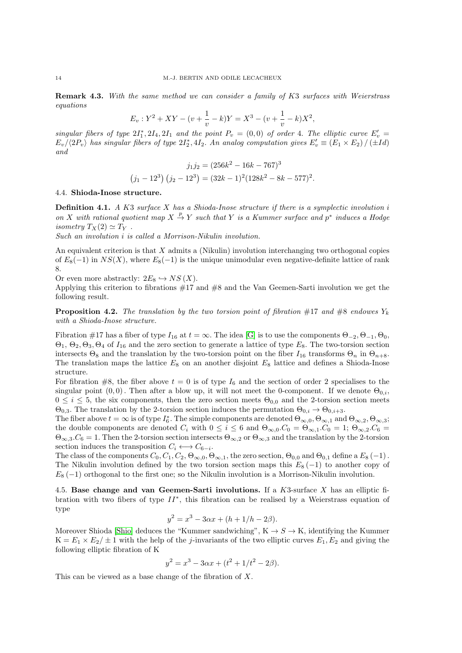Remark 4.3. With the same method we can consider a family of K3 surfaces with Weierstrass equations

$$
E_v: Y^2 + XY - (v + \frac{1}{v} - k)Y = X^3 - (v + \frac{1}{v} - k)X^2,
$$

singular fibers of type  $2I_1^*, 2I_4, 2I_1$  and the point  $P_v = (0,0)$  of order 4. The elliptic curve  $E'_v =$  $E_v/\langle 2P_v \rangle$  has singular fibers of type  $2I_2^*$ ,  $4I_2$ . An analog computation gives  $E'_v \equiv (E_1 \times E_2) / (\pm Id)$ and

$$
j_1 j_2 = (256k^2 - 16k - 767)^3
$$

$$
(j_1 - 12^3) (j_2 - 12^3) = (32k - 1)^2 (128k^2 - 8k - 577)^2.
$$

## 4.4. Shioda-Inose structure.

**Definition 4.1.** A K3 surface  $X$  has a Shioda-Inose structure if there is a symplectic involution  $i$ on X with rational quotient map  $X \stackrel{p}{\to} Y$  such that Y is a Kummer surface and p<sup>\*</sup> induces a Hodge isometry  $T_X(2) \simeq T_Y$ .

Such an involution i is called a Morrison-Nikulin involution.

An equivalent criterion is that  $X$  admits a (Nikulin) involution interchanging two orthogonal copies of  $E_8(-1)$  in  $NS(X)$ , where  $E_8(-1)$  is the unique unimodular even negative-definite lattice of rank 8.

Or even more abstractly:  $2E_8 \hookrightarrow NS(X)$ .

Applying this criterion to fibrations  $#17$  and  $#8$  and the Van Geemen-Sarti involution we get the following result.

**Proposition 4.2.** The translation by the two torsion point of fibration #17 and #8 endowes  $Y_k$ with a Shioda-Inose structure.

Fibration #17 has a fiber of type  $I_{16}$  at  $t = \infty$ . The idea [\[G\]](#page-28-5) is to use the components  $\Theta_{-2}, \Theta_{-1}, \Theta_0$ ,  $\Theta_1$ ,  $\Theta_2$ ,  $\Theta_3$ ,  $\Theta_4$  of  $I_{16}$  and the zero section to generate a lattice of type  $E_8$ . The two-torsion section intersects  $\Theta_8$  and the translation by the two-torsion point on the fiber  $I_{16}$  transforms  $\Theta_n$  in  $\Theta_{n+8}$ . The translation maps the lattice  $E_8$  on an another disjoint  $E_8$  lattice and defines a Shioda-Inose structure.

For fibration #8, the fiber above  $t = 0$  is of type  $I_6$  and the section of order 2 specialises to the singular point  $(0, 0)$ . Then after a blow up, it will not meet the 0-component. If we denote  $\Theta_{0,i}$ ,  $0 \leq i \leq 5$ , the six components, then the zero section meets  $\Theta_{0,0}$  and the 2-torsion section meets  $\Theta_{0,3}$ . The translation by the 2-torsion section induces the permutation  $\Theta_{0,i} \to \Theta_{0,i+3}$ .

The fiber above  $t = \infty$  is of type  $I_6^*$ . The simple components are denoted  $\Theta_{\infty,0}, \Theta_{\infty,1}$  and  $\Theta_{\infty,2}, \Theta_{\infty,3}$ ; the double components are denoted  $C_i$  with  $0 \le i \le 6$  and  $\Theta_{\infty,0}.C_0 = \Theta_{\infty,1}.C_0 = 1; \Theta_{\infty,2}.C_6 =$  $\Theta_{\infty,3}$ . $C_6 = 1$ . Then the 2-torsion section intersects  $\Theta_{\infty,2}$  or  $\Theta_{\infty,3}$  and the translation by the 2-torsion section induces the transposition  $C_i \leftrightarrow C_{6-i}$ .

The class of the components  $C_0, C_1, C_2, \Theta_{\infty,0}, \Theta_{\infty,1}$ , the zero section,  $\Theta_{0,0}$  and  $\Theta_{0,1}$  define a  $E_8(-1)$ . The Nikulin involution defined by the two torsion section maps this  $E_8(-1)$  to another copy of  $E_8(-1)$  orthogonal to the first one; so the Nikulin involution is a Morrison-Nikulin involution.

4.5. Base change and van Geemen-Sarti involutions. If a  $K3$ -surface X has an elliptic fibration with two fibers of type  $II^*$ , this fibration can be realised by a Weierstrass equation of type

$$
y^2 = x^3 - 3\alpha x + (h + 1/h - 2\beta).
$$

Moreover Shioda [\[Shio\]](#page-28-4) deduces the "Kummer sandwiching",  $K \to S \to K$ , identifying the Kummer  $K = E_1 \times E_2 / \pm 1$  with the help of the *j*-invariants of the two elliptic curves  $E_1, E_2$  and giving the following elliptic fibration of K

$$
y^2 = x^3 - 3\alpha x + (t^2 + 1/t^2 - 2\beta).
$$

This can be viewed as a base change of the fibration of X.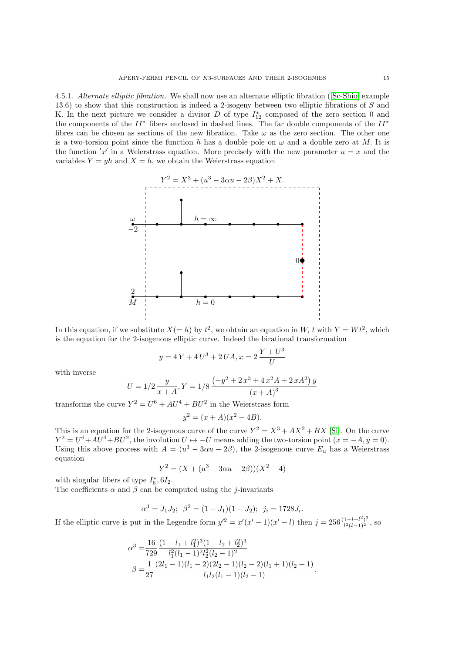<span id="page-14-0"></span>4.5.1. Alternate elliptic fibration. We shall now use an alternate elliptic fibration([\[Sc-Shio\]](#page-28-15) example 13.6) to show that this construction is indeed a 2-isogeny between two elliptic fibrations of S and K. In the next picture we consider a divisor D of type  $I_{12}^*$  composed of the zero section 0 and the components of the  $II^*$  fibers enclosed in dashed lines. The far double components of the  $II^*$ fibres can be chosen as sections of the new fibration. Take  $\omega$  as the zero section. The other one is a two-torsion point since the function h has a double pole on  $\omega$  and a double zero at M. It is the function 'x' in a Weierstrass equation. More precisely with the new parameter  $u = x$  and the variables  $Y = yh$  and  $X = h$ , we obtain the Weierstrass equation



In this equation, if we substitute  $X(=h)$  by  $t^2$ , we obtain an equation in W, t with  $Y = Wt^2$ , which is the equation for the 2-isogenous elliptic curve. Indeed the birational transformation

$$
y = 4Y + 4U^3 + 2UA, x = 2\frac{Y + U^3}{U}
$$

with inverse

$$
U = 1/2 \frac{y}{x+A}, Y = 1/8 \frac{\left(-y^2 + 2x^3 + 4x^2A + 2xA^2\right)y}{\left(x+A\right)^3}
$$

transforms the curve  $Y^2 = U^6 + AU^4 + BU^2$  in the Weierstrass form

$$
y^2 = (x + A)(x^2 - 4B).
$$

This is an equation for the 2-isogenous curve of the curve  $Y^2 = X^3 + AX^2 + BX$  [\[Si\]](#page-29-1). On the curve  $Y^2 = U^6 + AU^4 + BU^2$ , the involution  $U \mapsto -U$  means adding the two-torsion point  $(x = -A, y = 0)$ . Using this above process with  $A = (u^3 - 3\alpha u - 2\beta)$ , the 2-isogenous curve  $E_u$  has a Weierstrass equation

$$
Y^{2} = (X + (u^{3} - 3\alpha u - 2\beta))(X^{2} - 4)
$$

with singular fibers of type  $I_6^*, 6I_2$ .

The coefficients  $\alpha$  and  $\beta$  can be computed using the j-invariants

$$
\alpha^3 = J_1 J_2; \ \beta^2 = (1 - J_1)(1 - J_2); \ j_i = 1728 J_i.
$$

If the elliptic curve is put in the Legendre form  $y'^2 = x'(x'-1)(x'-l)$  then  $j = 256\frac{(1-l+l^2)^3}{l^2(l-1)^2}$  $\frac{1-l+l^-}{l^2(l-1)^2}$ , so

$$
\alpha^3 = \frac{16}{729} \frac{(1 - l_1 + l_1^2)^3 (1 - l_2 + l_2^2)^3}{l_1^2 (l_1 - 1)^2 l_2^2 (l_2 - 1)^2}
$$
  

$$
\beta = \frac{1}{27} \frac{(2l_1 - 1)(l_1 - 2)(2l_2 - 1)(l_2 - 2)(l_1 + 1)(l_2 + 1)}{l_1 l_2 (l_1 - 1)(l_2 - 1)}.
$$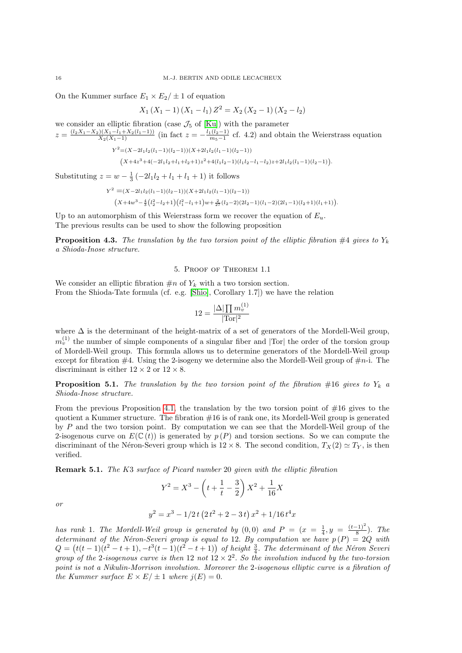On the Kummer surface  $E_1 \times E_2/\pm 1$  of equation

$$
X_1 (X_1 - 1) (X_1 - l_1) Z^2 = X_2 (X_2 - 1) (X_2 - l_2)
$$

we consider an elliptic fibration (case  $\mathcal{J}_5$  of [\[Ku\]](#page-28-21)) with the parameter  $z = \frac{(l_2X_1 - X_2)(X_1 - l_1 + X_2(l_1 - 1))}{X_2(X_1 - 1)}$  (in fact  $z = -\frac{l_1(l_2 - 1)}{m_5 - 1}$  $\frac{1(k_2-1)}{m_5-1}$  cf. 4.2) and obtain the Weierstrass equation  $Y^2 = (X - 2l_1l_2(l_1-1)(l_2-1))(X + 2l_1l_2(l_1-1)(l_2-1))$  $(X+4z^3+4(-2l_1l_2+l_1+l_2+1)z^2+4(l_1l_2-1)(l_1l_2-l_1-l_2)z+2l_1l_2(l_1-1)(l_2-1)).$ 

Substituting  $z = w - \frac{1}{3}(-2l_1l_2 + l_1 + l_1 + 1)$  it follows

$$
\begin{split} Y^2 = &(X-2l_1l_2(l_1-1)(l_2-1))(X+2l_1l_2(l_1-1)(l_2-1)) \\ &\qquad \qquad \left(X+4w^3-\tfrac{4}{3}\big(l_2^2-l_2+1\big)\big(l_1^2-l_1+1\big)w+\tfrac{2}{27}\big(l_2-2\big)(2l_2-1)(l_1-2)(2l_1-1)(l_2+1)(l_1+1)\big). \end{split}
$$

Up to an automorphism of this Weierstrass form we recover the equation of  $E_u$ . The previous results can be used to show the following proposition

**Proposition 4.3.** The translation by the two torsion point of the elliptic fibration  $#4$  gives to  $Y_k$ a Shioda-Inose structure.

### 5. Proof of Theorem 1.1

We consider an elliptic fibration  $\#n$  of  $Y_k$  with a two torsion section. From the Shioda-Tate formula (cf. e.g. [\[Shio\]](#page-28-4), Corollary 1.7]) we have the relation

$$
12 = \frac{|\Delta| \prod m_v^{(1)}}{|\text{Tor}|^2}
$$

where  $\Delta$  is the determinant of the height-matrix of a set of generators of the Mordell-Weil group,  $m_{v}^{(1)}$  the number of simple components of a singular fiber and |Tor| the order of the torsion group of Mordell-Weil group. This formula allows us to determine generators of the Mordell-Weil group except for fibration  $#4$ . Using the 2-isogeny we determine also the Mordell-Weil group of  $\#n$ -i. The discriminant is either  $12 \times 2$  or  $12 \times 8$ .

**Proposition 5.1.** The translation by the two torsion point of the fibration #16 gives to  $Y_k$  a Shioda-Inose structure.

From the previous Proposition [4.1,](#page-11-0) the translation by the two torsion point of  $#16$  gives to the quotient a Kummer structure. The fibration  $#16$  is of rank one, its Mordell-Weil group is generated by P and the two torsion point. By computation we can see that the Mordell-Weil group of the 2-isogenous curve on  $E(\mathbb{C}(t))$  is generated by  $p(P)$  and torsion sections. So we can compute the discriminant of the Néron-Severi group which is  $12 \times 8$ . The second condition,  $T_X(2) \simeq T_Y$ , is then verified.

Remark 5.1. The K3 surface of Picard number 20 given with the elliptic fibration

$$
Y^{2} = X^{3} - \left(t + \frac{1}{t} - \frac{3}{2}\right)X^{2} + \frac{1}{16}X
$$

or

$$
y^2 = x^3 - 1/2 t (2 t^2 + 2 - 3 t) x^2 + 1/16 t^4 x
$$

has rank 1. The Mordell-Weil group is generated by  $(0,0)$  and  $P = (x = \frac{1}{4}, y = \frac{(t-1)^2}{8})$  $\frac{-1)}{8}$ ). The determinant of the Néron-Severi group is equal to 12. By computation we have  $p(P) = 2Q$  with  $Q = (t(t-1)(t^2-t+1), -t^3(t-1)(t^2-t+1))$  of height  $\frac{3}{4}$ . The determinant of the Néron Severi group of the 2-isogenous curve is then 12 not  $12 \times 2^2$ . So the involution induced by the two-torsion point is not a Nikulin-Morrison involution. Moreover the 2-isogenous elliptic curve is a fibration of the Kummer surface  $E \times E/\pm 1$  where  $j(E) = 0$ .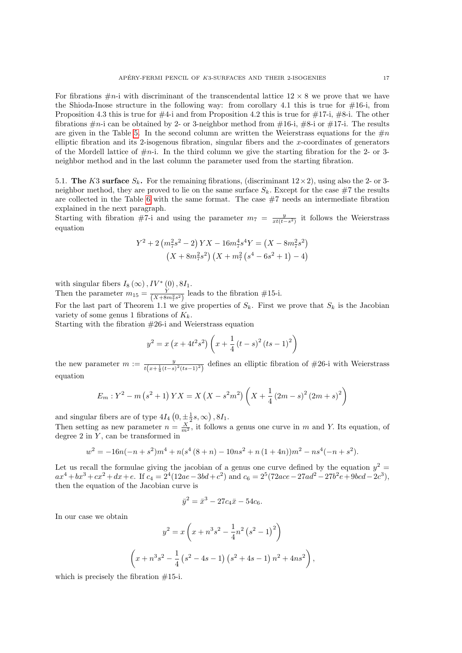For fibrations  $\#n$ -i with discriminant of the transcendental lattice  $12 \times 8$  we prove that we have the Shioda-Inose structure in the following way: from corollary 4.1 this is true for #16-i, from Proposition 4.3 this is true for  $\#4$ -i and from Proposition 4.2 this is true for  $\#17$ -i,  $\#8$ -i. The other fibrations  $\#n$ -i can be obtained by 2- or 3-neighbor method from  $\#16$ -i,  $\#8$ -i or  $\#17$ -i. The results are given in the Table [5.](#page-17-0) In the second column are written the Weierstrass equations for the  $\#n$ elliptic fibration and its 2-isogenous fibration, singular fibers and the  $x$ -coordinates of generators of the Mordell lattice of  $\#n$ -i. In the third column we give the starting fibration for the 2- or 3neighbor method and in the last column the parameter used from the starting fibration.

5.1. The K3 surface  $S_k$ . For the remaining fibrations, (discriminant  $12 \times 2$ ), using also the 2- or 3neighbor method, they are proved to lie on the same surface  $S_k$ . Except for the case  $\#7$  the results are collected in the Table [6](#page-18-0) with the same format. The case  $#7$  needs an intermediate fibration explained in the next paragraph.

Starting with fibration #7-i and using the parameter  $m_7 = \frac{y}{xt(t-s^2)}$  it follows the Weierstrass equation

$$
Y^{2} + 2\left(m_{7}^{2}s^{2} - 2\right)YX - 16m_{7}^{4}s^{4}Y = \left(X - 8m_{7}^{2}s^{2}\right)\left(X + 8m_{7}^{2}s^{2}\right)\left(X + m_{7}^{2}\left(s^{4} - 6s^{2} + 1\right) - 4\right)
$$

with singular fibers  $I_8(\infty)$ ,  $IV^*(0)$ ,  $8I_1$ .

Then the parameter  $m_{15} = \frac{Y}{(X+8m_7^2s^2)}$  leads to the fibration #15-i.

For the last part of Theorem 1.1 we give properties of  $S_k$ . First we prove that  $S_k$  is the Jacobian variety of some genus 1 fibrations of  $K_k$ .

Starting with the fibration #26-i and Weierstrass equation

$$
y^{2} = x (x + 4t^{2}s^{2}) \left( x + \frac{1}{4} (t - s)^{2} (ts - 1)^{2} \right)
$$

the new parameter  $m := \frac{y}{t(x + \frac{1}{4}(t-s)^2(t-s-1)^2)}$  defines an elliptic fibration of #26-i with Weierstrass equation

$$
E_m: Y^2 - m (s^2 + 1) YX = X (X - s^2 m^2) \left( X + \frac{1}{4} (2m - s)^2 (2m + s)^2 \right)
$$

and singular fibers are of type  $4I_4(0, \pm \frac{1}{2}s, \infty)$ ,  $8I_1$ .

Then setting as new parameter  $n = \frac{X}{m^2}$ , it follows a genus one curve in m and Y. Its equation, of degree  $2$  in  $Y$ , can be transformed in

$$
w^{2} = -16n(-n + s^{2})m^{4} + n(s^{4}(8+n) - 10ns^{2} + n(1+4n))m^{2} - ns^{4}(-n + s^{2}).
$$

Let us recall the formulae giving the jacobian of a genus one curve defined by the equation  $y^2 =$  $ax^4 + bx^3 + cx^2 + dx + e$ . If  $c_4 = 2^4(12ae - 3bd + c^2)$  and  $c_6 = 2^5(72ace - 27ad^2 - 27b^2e + 9bcd - 2c^3)$ , then the equation of the Jacobian curve is

$$
\bar{y}^2 = \bar{x}^3 - 27c_4\bar{x} - 54c_6.
$$

In our case we obtain

$$
y^{2} = x\left(x + n^{3}s^{2} - \frac{1}{4}n^{2}(s^{2} - 1)^{2}\right)
$$

$$
\left(x + n^{3}s^{2} - \frac{1}{4}(s^{2} - 4s - 1)(s^{2} + 4s - 1)n^{2} + 4ns^{2}\right),
$$

which is precisely the fibration  $#15$ -i.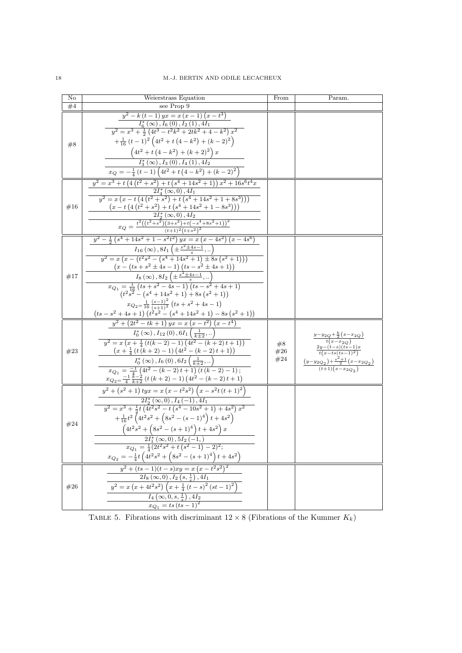<span id="page-17-0"></span>

| No  | Weierstrass Equation                                                                                                                                                                                                                                                                                                                                                                                                                                                                                                                                                                              | From             | Param.                                                                                                                                                                                                                                                |
|-----|---------------------------------------------------------------------------------------------------------------------------------------------------------------------------------------------------------------------------------------------------------------------------------------------------------------------------------------------------------------------------------------------------------------------------------------------------------------------------------------------------------------------------------------------------------------------------------------------------|------------------|-------------------------------------------------------------------------------------------------------------------------------------------------------------------------------------------------------------------------------------------------------|
| #4  | see Prop 9                                                                                                                                                                                                                                                                                                                                                                                                                                                                                                                                                                                        |                  |                                                                                                                                                                                                                                                       |
| #8  | $y^2 - k(\bar{t} - 1) yx = x (x - 1) (x - t^3)$<br>$\frac{I_6^*\left(\infty\right), I_6\left(0\right), I_2\left(1\right), 4I_1}{y^2 = x^3 + \frac{1}{2}\left(4t^3 - t^2k^2 + 2tk^2 + 4 - k^2\right)x^2}$<br>$+\frac{1}{16}(t-1)^2(4t^2+t(4-k^2)+(k-2)^2)$<br>$\left(4t^2+t\left(4-k^2\right)+(k+2)^2\right)x$<br>$I_{3}^{*}(\infty)$ , $I_{3}(0)$ , $I_{4}(1)$ , $4I_{2}$<br>$x_Q = -\frac{1}{4}(t-1)\left(4t^2 + t(4-k^2) + (k-2)^2\right)$                                                                                                                                                      |                  |                                                                                                                                                                                                                                                       |
| #16 | $y^2 = x^3 + t \left(4\left(t^2 + s^2\right) + t\left(s^4 + 14s^2 + 1\right)\right)x^2 + 16s^6t^4x$<br>$\frac{2I_4^*\left(\infty,0\right),4I_1}{y^2=x\left(x-t\left(4\left(t^2+s^2\right)+t\left(s^4+14s^2+1+8s^3\right)\right)\right)}$<br>$\left(x-t\left(4\left(\dot{t}^{2}+s^{2}\right)+t\left(s^{4}+14s^{2}+1-8s^{3}\right)\right)\right)$<br>$2I_2^*\left(\infty,0\right)$ , $4I$<br>$x_Q = \frac{t^2((t^2+s^2)(3+s^2)+t(-s^4+8s^2+1))^2}{(t+1)^2(t+s^2)^2}$<br>$y^2 - \frac{1}{2}(s^4+14s^2+1-s^2t^2) \, yx = x(x-4s^2) \, (x-4s^6)$                                                       |                  |                                                                                                                                                                                                                                                       |
| #17 | $\frac{I_{16}\left(\infty\right),8I_{1}\left(\pm\frac{s^2\pm 4s-1}{s},\right)}{y^2=x\left(x-\left(t^2s^2-\left(s^4+14s^2+1\right)\pm 8s\left(s^2+1\right)\right)\right)}$<br>$\frac{(x - (ts + s^2 \pm 4s - 1) (ts - s^2 \pm 4s + 1))}{s (x - (ts + s^2 \pm 4s - 1) (ts - s^2 \pm 4s + 1))}$<br>$\frac{x_{Q_1}}{x_{Q_1}} = \frac{1}{16} (ts + s^2 - 4s - 1) (ts - s^2 + 4s + 1)$<br>$(t^2 s^2 - (s^4 + 14s^2 + 1) + 8s (s^2 + 1))$<br>$x_{Q_2=\frac{1}{16}\frac{(s-1)^2}{(s+1)^2}}(ts+s^2+4s-1)$<br>$\frac{(ts-s^2+4s+1) (t^2s^2-(s^4+14s^2+1)-8s(s^2+1))}{u^2+(2t^2-tk+1) yx=x (x-t^2) (x-t^4)}$ |                  |                                                                                                                                                                                                                                                       |
| #23 | $I_0^*\left(\infty\right)$ , $I_{12}\left(0\right)$ , $6I_1\left(\frac{1}{k\pm 2},\ldots\right)$<br>$y^2 = x(x + \frac{1}{4}(t(k-2)-1)(4t^2-(k+2)t+1))$<br>$\left(x+\frac{1}{4}\left(t\left(k+2\right)-1\right)\left(4t^2-\left(k-2\right)t+1\right)\right)$<br>$\begin{array}{c} I_0^*\left(\infty\right), I_6\left(0\right), 6I_2\left(\frac{1}{k\pm2}, \right)\\ x_{Q_1}=\frac{-1}{4}\left(4t^2-(k-2)\,t+1\right)\left(t\left(k-2\right)-1\right);\\ x_{Q_2}=\frac{-1}{4}\frac{k-2}{k+2}\left(t\left(k+2\right)-1\right)\left(4t^2-\left(k-2\right)t+1\right) \end{array}$                     | #8<br>#26<br>#24 | $\frac{y-y_2Q+\frac{k}{2}\left(x-x_2Q\right)}{t\left(x-x_2Q\right)}\\ \frac{2y-(t-s)(ts-1)x}{t\left(x-ts(ts-1)^2\right)}$<br>$\frac{\left(y-y_{2Q_{2}}\right)+\frac{s^{2}+1}{2}\left(x-x_{2Q_{2}}\right)}{\left(t+1\right)\left(x-x_{2Q_{2}}\right)}$ |
| #24 | $y^{2} + (s^{2} + 1)$ tyx = x $(x - t^{2} s^{2}) (x - s^{2} t (t+1)^{2})$<br>$\frac{2I_2^*\left(\infty,0\right), I_4\left(-1\right), 4I_1}{y^2=x^3+\frac{1}{2}t\left(4t^2s^2-t\left(s^4-10s^2+1\right)+4s^2\right)x^2}$<br>$+\frac{1}{16}t^2\left(4t^2s^2+\left(8s^2-(s-1)^4\right)t+4s^2\right)$<br>$\left(4t^2s^2+\left(8s^2-(s+1)^4\right)t+4s^2\right)x$<br>$\frac{2I_1^*(\infty,0),5I_2(-1,)}{x_{Q_1}=\frac{1}{4}(2t^2s^2+t(s^2-1)-2)^2};$<br>$x_{Q_2} = -\frac{1}{4}t\left(4t^2s^2 + \left(8s^2 - (s+1)^4\right)t + 4s^2\right)$                                                            |                  |                                                                                                                                                                                                                                                       |
| #26 | $\frac{y^2 + (ts - 1)(t - s)xy = x (x - t^2 s^2)^2}{2I_8(\infty, 0), I_2(s, \frac{1}{s}), 4I_1}$<br>$y^{2} = x(x + 4t^{2}s^{2})\left(x + \frac{1}{4}(t - s)^{2}(st - 1)^{2}\right)$<br>$I_4\left(\infty, 0, s, \frac{1}{s}\right), 4I_2$<br>$x_{Q_1} = ts (ts - 1)^2$                                                                                                                                                                                                                                                                                                                             |                  |                                                                                                                                                                                                                                                       |

TABLE 5. Fibrations with discriminant  $12 \times 8$  (Fibrations of the Kummer  $K_k$ )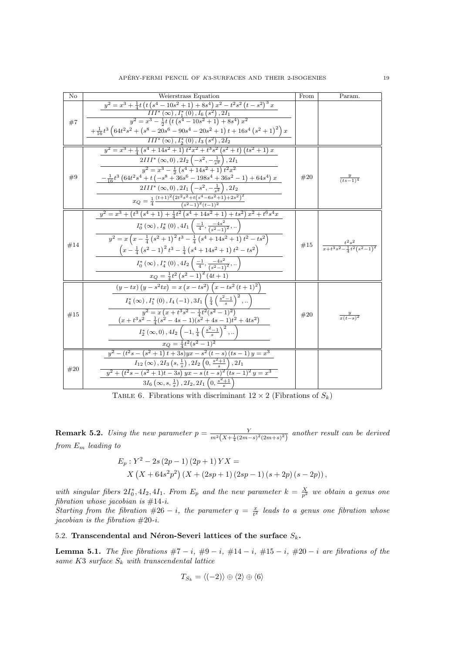<span id="page-18-0"></span>

| $\rm No$ | Weierstrass Equation                                                                                                                                                                                                                                                                                                                                                                                                                                                                                                                                                                                      | From | Param.                                                   |
|----------|-----------------------------------------------------------------------------------------------------------------------------------------------------------------------------------------------------------------------------------------------------------------------------------------------------------------------------------------------------------------------------------------------------------------------------------------------------------------------------------------------------------------------------------------------------------------------------------------------------------|------|----------------------------------------------------------|
| #7       | $y^2 = x^3 + \frac{1}{4}t\left(\overline{t\left(s^4 - 10s^2 + 1\right) + 8s^4}\right)x^2 - t^2s^2\left(t - s^2\right)^3x$<br>$\frac{III^*\left(\infty\right), I_1^*\left(0\right), I_6\left(s^2\right), 2I_1}{y^2 = x^3 - \frac{1}{2}t\left(t\left(s^4 - 10s^2 + 1\right) + 8s^4\right)x^2}$<br>$+\frac{1}{16}t^3\left(64t^2s^2+\left(s^8-20s^6-90s^4-20s^2+1\right)t+16s^4\left(s^2+1\right)^2\right)x$<br>$III^*(\infty)$ , $I_2^*(0)$ , $I_3(s^2)$ , $2I_2$                                                                                                                                            |      |                                                          |
| #9       | $y^2 = x^3 + \frac{1}{4}(s^4 + 14s^2 + 1)t^2x^2 + t^3s^2(s^2 + t)(ts^2 + 1)x$<br>$2III^* (\infty, 0), 2I_2 (-s^2, -\frac{1}{s^2}), 2I_1$<br>$y^2 = x^3 - \frac{1}{2} \left(s^4 + 14s^2 + 1\right) t^2 x^2$<br>$-\frac{1}{16}t^3\left(64t^2s^4+t\left(-s^8+36s^6-198s^4+36s^2-1\right)+64s^4\right)x$<br>$2III^*(\infty,0), 2I_1\left(-s^2,-\frac{1}{2}\right), 2I_2$<br>$\frac{x_Q=\frac{1}{4}\frac{(t+1)^2\left(2t^2s^2+t\left(s^4-6s^2+1\right)+2s^2\right)^2}{\left(s^2-1\right)^2(t-1)^2}}{\frac{y^2=x^3+\left(t^3\left(s^4+1\right)+\frac{1}{4}t^2\left(s^4+14s^2+1\right)+ts^2\right)x^2+t^6s^4x}}$ | #20  | $\frac{y}{(ts-1)^4}$                                     |
| #14      | $I_0^*\left(\infty\right)$ , $I_8^*\left(0\right)$ , $4I_1\left(\frac{-1}{4},\frac{-4s^2}{\left(s^2-1\right)^2},\dots\right)$<br>$y^2 = x\left(x - \frac{1}{4}\left(s^2 + 1\right)^2 t^3 - \frac{1}{4}\left(s^4 + 14s^2 + 1\right)t^2 - ts^2\right)$<br>$\left(x-\frac{1}{4}\left(s^2-1\right)^2t^3-\frac{1}{4}\left(s^4+14s^2+1\right)t^2-ts^2\right)$<br>$I_0^* (\infty)$ , $I_4^* (0)$ , $4I_2 \left( \frac{-1}{4}, \frac{-4s^2}{(s^2-1)^2}, \dots \right)$<br>$x_Q = \frac{1}{4}t^2\left(s^2-1\right)^2(4t+1)$                                                                                        |      | $\#15$ $\frac{t^2s^2}{x+t^3s^2-\frac{1}{4}t^2(s^2-1)^2}$ |
| #15      | $(y - tx) (y - s2tx) = x (x - ts2) (x - ts2 (t + 1)2)$<br>$I_4^* (\infty)$ , $I_1^* (0)$ , $I_4 (-1)$ , $3I_1 \left( \frac{1}{4} \left( \frac{s^2-1}{s} \right)^2$ ,<br>$y^2 = x(x+t^3s^2 - \frac{1}{2}t^2(s^2-1)^2)$<br>$\frac{(x+t^3s^2-\frac{1}{4}(s^2-4s-1)(s^2+4s-1)t^2+4ts^2)}{I_2^*(\infty,0), 4I_2\left(-1,\frac{1}{4}\left(\frac{s^2-1}{s}\right)^2,\ldots\right)}$<br>$x_Q = \frac{1}{4}t^2(s^2-1)^2$                                                                                                                                                                                           | #20  | $\frac{y}{x(t-s)^2}$                                     |
| #20      | $y^{2} - (t^{2}s - (s^{2} + 1) t + 3s)y^{2} - s^{2}(t - s)(ts - 1)y = x^{3}$<br>$I_{12}\left(\infty\right),2I_{3}\left(s,\frac{1}{s}\right),2I_{2}\left(0,\frac{s^2+1}{s}\right),2I_{1}$<br>$y^{2} + (t^{2}s - (s^{2} + 1)t - 3s) yx - s(t - s)^{2}(ts - 1)^{2} y = x^{3}$<br>$3I_6(\infty, s, \frac{1}{s})$ , $2I_2$ , $2I_1(0, \frac{s^2+1}{s})$                                                                                                                                                                                                                                                        |      |                                                          |

TABLE 6. Fibrations with discriminant  $12 \times 2$  (Fibrations of  $S_k$ )

**Remark 5.2.** Using the new parameter  $p = \frac{Y}{m^2(X + \frac{1}{4}(2m-s)^2(2m+s)^2)}$  another result can be derived from  $E_m$  leading to

$$
E_p: Y^2 - 2s (2p - 1) (2p + 1) YX =
$$
  
 
$$
X (X + 64s^2p^2) (X + (2sp + 1) (2sp - 1) (s + 2p) (s - 2p)),
$$

with singular fibers  $2I_0^*, 4I_2, 4I_1$ . From  $E_p$  and the new parameter  $k = \frac{X}{p^2}$  we obtain a genus one fibration whose jacobian is  $#14-i$ .

Starting from the fibration  $#26 - i$ , the parameter  $q = \frac{x}{t^2}$  leads to a genus one fibration whose jacobian is the fibration  $\#20-i$ .

# 5.2. Transcendental and Néron-Severi lattices of the surface  $S_k$ .

**Lemma 5.1.** The five fibrations  $#7 - i$ ,  $#9 - i$ ,  $#14 - i$ ,  $#15 - i$ ,  $#20 - i$  are fibrations of the same K3 surface  $S_k$  with transcendental lattice

$$
T_{S_k} = \langle (-2) \rangle \oplus \langle 2 \rangle \oplus \langle 6 \rangle
$$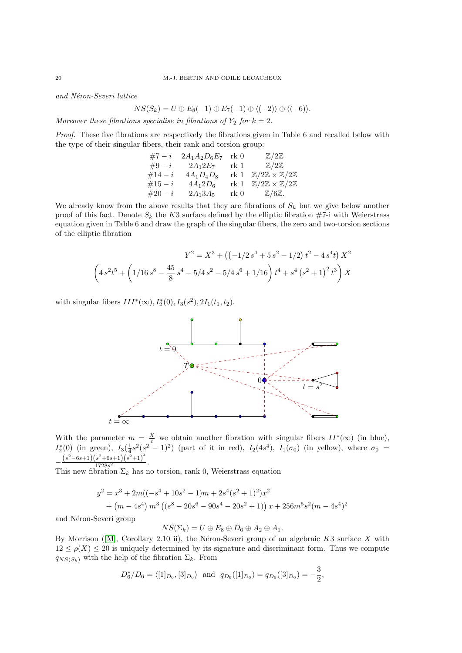and Néron-Severi lattice

$$
NS(S_k) = U \oplus E_8(-1) \oplus E_7(-1) \oplus \langle (-2) \rangle \oplus \langle (-6) \rangle.
$$

Moreover these fibrations specialise in fibrations of  $Y_2$  for  $k = 2$ .

Proof. These five fibrations are respectively the fibrations given in Table 6 and recalled below with the type of their singular fibers, their rank and torsion group:

| $#7 - i$   | $2A_1A_2D_6E_7$ | $rk$ 0 | $\mathbb{Z}/2\mathbb{Z}$                               |
|------------|-----------------|--------|--------------------------------------------------------|
| $#9 - i$   | $2A_1 2E_7$     | rk 1   | $\mathbb{Z}/2\mathbb{Z}$                               |
| $#14 - i$  | $4A_1D_4D_8$    | rk 1   | $\mathbb{Z}/2\mathbb{Z} \times \mathbb{Z}/2\mathbb{Z}$ |
| $\#15 - i$ | $4A_1 2D_6$     | rk 1   | $\mathbb{Z}/2\mathbb{Z} \times \mathbb{Z}/2\mathbb{Z}$ |
| $#20 - i$  | $2A_13A_5$      | rk 0   | $\mathbb{Z}/6\mathbb{Z}.$                              |

We already know from the above results that they are fibrations of  $S_k$  but we give below another proof of this fact. Denote  $S_k$  the K3 surface defined by the elliptic fibration #7-i with Weierstrass equation given in Table 6 and draw the graph of the singular fibers, the zero and two-torsion sections of the elliptic fibration

$$
Y^2 = X^3 + \left( \left( -\frac{1}{2} s^4 + 5 s^2 - \frac{1}{2} \right) t^2 - 4 s^4 t \right) X^2
$$

$$
\left( 4 s^2 t^5 + \left( \frac{1}{16} s^8 - \frac{45}{8} s^4 - \frac{5}{4} s^2 - \frac{5}{4} s^6 + \frac{1}{16} \right) t^4 + s^4 \left( s^2 + 1 \right)^2 t^3 \right) X
$$

with singular fibers  $III^*(\infty), I_2^*(0), I_3(s^2), 2I_1(t_1, t_2)$ .



With the parameter  $m = \frac{X}{t}$  we obtain another fibration with singular fibers  $II^*(\infty)$  (in blue),  $I_2^*(0)$  (in green),  $I_3(\frac{1}{4}s^2(s^2-1)^2)$  (part of it in red),  $I_2(4s^4)$ ,  $I_1(\sigma_0)$  (in yellow), where  $\sigma_0 =$  $-\frac{(s^2-6s+1)(s^2+6s+1)(s^2+1)^4}{1728s^2}.$ 

<sup>1728s<sup>2</sup></sup><br>This new fibration  $\Sigma_k$  has no torsion, rank 0, Weierstrass equation

$$
y^{2} = x^{3} + 2m((-s^{4} + 10s^{2} - 1)m + 2s^{4}(s^{2} + 1)^{2})x^{2}
$$
  
+  $(m - 4s^{4}) m^{3} ((s^{8} - 20s^{6} - 90s^{4} - 20s^{2} + 1)) x + 256m^{5}s^{2}(m - 4s^{4})^{2}$ 

and Néron-Severi group

$$
NS(\Sigma_k) = U \oplus E_8 \oplus D_6 \oplus A_2 \oplus A_1.
$$

ByMorrison ( $[M]$ , Corollary 2.10 ii), the Néron-Severi group of an algebraic K3 surface X with  $12 \le \rho(X) \le 20$  is uniquely determined by its signature and discriminant form. Thus we compute  $q_{NS(S_k)}$  with the help of the fibration  $\Sigma_k$ . From

$$
D_6^*/D_6 = \langle [1]_{D_6}, [3]_{D_6} \rangle
$$
 and  $q_{D_6}([1]_{D_6}) = q_{D_6}([3]_{D_6}) = -\frac{3}{2}$ ,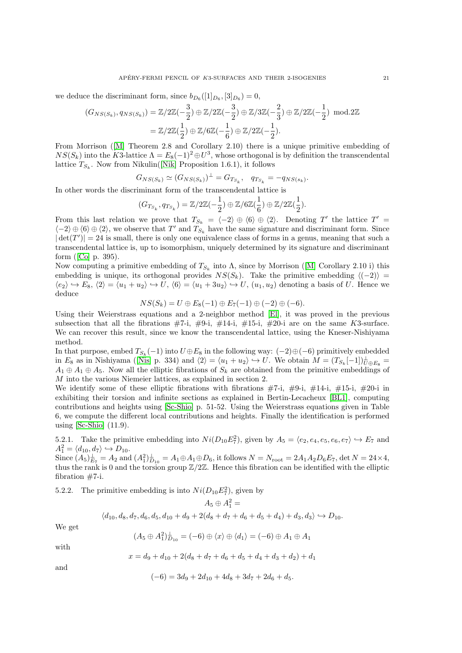we deduce the discriminant form, since  $b_{D_6}([1]_{D_6}, [3]_{D_6}) = 0$ ,

$$
(G_{NS(S_k)}, q_{NS(S_k)}) = \mathbb{Z}/2\mathbb{Z}(-\frac{3}{2}) \oplus \mathbb{Z}/2\mathbb{Z}(-\frac{3}{2}) \oplus \mathbb{Z}/3\mathbb{Z}(-\frac{2}{3}) \oplus \mathbb{Z}/2\mathbb{Z}(-\frac{1}{2}) \mod 2\mathbb{Z}
$$
  
=  $\mathbb{Z}/2\mathbb{Z}(\frac{1}{2}) \oplus \mathbb{Z}/6\mathbb{Z}(-\frac{1}{6}) \oplus \mathbb{Z}/2\mathbb{Z}(-\frac{1}{2}).$ 

From Morrison([\[M\]](#page-28-2) Theorem 2.8 and Corollary 2.10) there is a unique primitive embedding of  $NS(S_k)$  into the K3-lattice  $\Lambda = E_8(-1)^2 \oplus U^3$ , whose orthogonal is by definition the transcendental lattice  $T_{S_k}$ . Now from Nikulin([\[Nik\]](#page-28-23) Proposition 1.6.1), it follows

$$
G_{NS(S_k)} \simeq (G_{NS(S_k)})^{\perp} = G_{T_{S_k}}, \quad q_{T_{S_k}} = -q_{NS(s_k)}.
$$

In other words the discriminant form of the transcendental lattice is

$$
(G_{T_{S_k}}, q_{T_{S_k}}) = \mathbb{Z}/2\mathbb{Z}(-\frac{1}{2}) \oplus \mathbb{Z}/6\mathbb{Z}(\frac{1}{6}) \oplus \mathbb{Z}/2\mathbb{Z}(\frac{1}{2}).
$$

From this last relation we prove that  $T_{S_k} = \langle -2 \rangle \oplus \langle 6 \rangle \oplus \langle 2 \rangle$ . Denoting T' the lattice T' =  $\langle -2 \rangle \oplus \langle 6 \rangle \oplus \langle 2 \rangle$ , we observe that T' and  $T_{S_k}$  have the same signature and discriminant form. Since  $|\det(T')| = 24$  is small, there is only one equivalence class of forms in a genus, meaning that such a transcendental lattice is, up to isomorphism, uniquely determined by its signature and discriminant form([\[Co\]](#page-28-17)  $p. 395$ ).

Now computing a primitive embedding of  $T_{S_k}$  into  $\Lambda$ , since by Morrison ([\[M\]](#page-28-2) Corollary 2.10 i) this embedding is unique, its orthogonal provides  $NS(S_k)$ . Take the primitive embedding  $\langle (-2) \rangle =$  $\langle e_2 \rangle \leftrightarrow E_8, \langle 2 \rangle = \langle u_1 + u_2 \rangle \leftrightarrow U, \langle 6 \rangle = \langle u_1 + 3u_2 \rangle \leftrightarrow U, \langle u_1, u_2 \rangle$  denoting a basis of U. Hence we deduce

$$
NS(S_k) = U \oplus E_8(-1) \oplus E_7(-1) \oplus (-2) \oplus (-6).
$$

Using their Weierstrass equations and a 2-neighbor method [\[El\]](#page-28-11), it was proved in the previous subsection that all the fibrations  $#7$ -i,  $#9$ -i,  $#14$ -i,  $#15$ -i,  $#20$ -i are on the same K3-surface. We can recover this result, since we know the transcendental lattice, using the Kneser-Nishiyama method.

In that purpose, embed  $T_{S_k}(-1)$  into  $U \oplus E_8$  in the following way:  $(-2) \oplus (-6)$  primitively embedded in $E_8$  as in Nishiyama ([\[Nis\]](#page-28-18) p. 334) and  $\langle 2 \rangle = \langle u_1 + u_2 \rangle \hookrightarrow U$ . We obtain  $M = (T_{S_k}[-1])_{U \oplus E_8}^{\perp} =$  $A_1 \oplus A_1 \oplus A_5$ . Now all the elliptic fibrations of  $S_k$  are obtained from the primitive embeddings of M into the various Niemeier lattices, as explained in section 2.

We identify some of these elliptic fibrations with fibrations  $#7-i$ ,  $#9-i$ ,  $#14-i$ ,  $#15-i$ ,  $#20-i$  in exhibiting their torsion and infinite sections as explained in Bertin-Lecacheux [\[BL1\]](#page-28-24), computing contributions and heights using [\[Sc-Shio\]](#page-28-15) p. 51-52. Using the Weierstrass equations given in Table 6, we compute the different local contributions and heights. Finally the identification is performed using [\[Sc-Shio\]](#page-28-15) (11.9).

5.2.1. Take the primitive embedding into  $Ni(D_{10}E_7^2)$ , given by  $A_5 = \langle e_2, e_4, e_5, e_6, e_7 \rangle \hookrightarrow E_7$  and  $A_1^2 = \langle d_{10}, d_7 \rangle \hookrightarrow D_{10}.$ 

Since  $(A_5)^{\perp}_{E_7} = A_2$  and  $(A_1^2)^{\perp}_{D_{10}} = A_1 \oplus A_1 \oplus D_6$ , it follows  $N = N_{\text{root}} = 2A_1 A_2 D_6 E_7$ , det  $N = 24 \times 4$ , thus the rank is 0 and the torsion group  $\mathbb{Z}/2\mathbb{Z}$ . Hence this fibration can be identified with the elliptic fibration  $#7$ -i.

5.2.2. The primitive embedding is into  $Ni(D_{10}E_7^2)$ , given by

$$
A_5\oplus A_1^2=
$$

 $\langle d_{10}, d_8, d_7, d_6, d_5, d_{10} + d_9 + 2(d_8 + d_7 + d_6 + d_5 + d_4) + d_3, d_3 \rangle \hookrightarrow D_{10}.$ 

We get

$$
(A_5 \oplus A_1^2)_{D_{10}}^{\perp} = (-6) \oplus \langle x \rangle \oplus \langle d_1 \rangle = (-6) \oplus A_1 \oplus A_1
$$

with

$$
x = d_9 + d_{10} + 2(d_8 + d_7 + d_6 + d_5 + d_4 + d_3 + d_2) + d_1
$$

and

$$
(-6) = 3d_9 + 2d_{10} + 4d_8 + 3d_7 + 2d_6 + d_5.
$$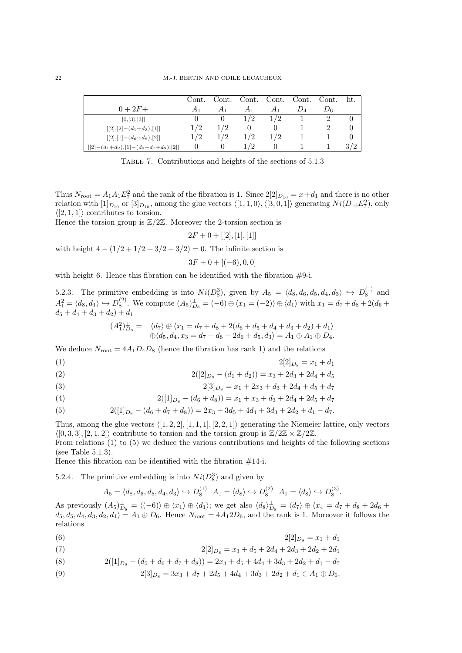|                                                     | Cont. | Cont. |       | Cont. Cont. Cont. | Cont. |     |
|-----------------------------------------------------|-------|-------|-------|-------------------|-------|-----|
| $0 + 2F +$                                          | A1    | A1    | $A_1$ | $A_1$             | $D_6$ |     |
| [0, 3, 3]                                           |       |       | 1/2   | 1/2               |       |     |
| $[[2],[2] - (d_1+d_2), [1]]$                        | 1/2   | 1/2   |       |                   |       |     |
| $[[2],[1] - (d_6+d_8), [2]]$                        | 1/2   | 1/2   | 1/2   | 1/2               |       |     |
| $[[2] - (d_1 + d_2), [1] - (d_6 + d_7 + d_8), [2]]$ | 0     |       |       |                   |       | 3/2 |

Table 7. Contributions and heights of the sections of 5.1.3

Thus  $N_{\text{root}} = A_1 A_1 E_7^2$  and the rank of the fibration is 1. Since  $2[2]_{D_{10}} = x + d_1$  and there is no other relation with  $[1]_{D_{10}}$  or  $[3]_{D_{10}}$ , among the glue vectors  $\langle [1, 1, 0 \rangle, \langle [3, 0, 1] \rangle$  generating  $Ni(D_{10}E_7^2)$ , only  $\langle [2, 1, 1] \rangle$  contributes to torsion.

Hence the torsion group is  $\mathbb{Z}/2\mathbb{Z}$ . Moreover the 2-torsion section is

$$
2F+0+[[2],[1],[1]]
$$

with height  $4 - (1/2 + 1/2 + 3/2 + 3/2) = 0$ . The infinite section is

$$
3F + 0 + [(-6), 0, 0]
$$

with height 6. Hence this fibration can be identified with the fibration  $#9$ -i.

5.2.3. The primitive embedding is into  $Ni(D_8^3)$ , given by  $A_5 = \langle d_8, d_6, d_5, d_4, d_3 \rangle \hookrightarrow D_8^{(1)}$  and  $A_1^2 = \langle d_8, d_1 \rangle \hookrightarrow D_8^{(2)}$ . We compute  $(A_5)_{D_8}^{\perp} = (-6) \oplus \langle x_1 = (-2) \rangle \oplus \langle d_1 \rangle$  with  $x_1 = d_7 + d_8 + 2(d_6 +$  $d_5 + d_4 + d_3 + d_2 + d_1$ 

$$
(A_1^2)_{D_8}^{\perp} = \langle d_7 \rangle \oplus \langle x_1 = d_7 + d_8 + 2(d_6 + d_5 + d_4 + d_3 + d_2) + d_1 \rangle
$$
  

$$
\oplus \langle d_5, d_4, x_3 = d_7 + d_8 + 2d_6 + d_5, d_3 \rangle = A_1 \oplus A_1 \oplus D_4.
$$

We deduce  $N_{\text{root}} = 4A_1 D_4 D_8$  (hence the fibration has rank 1) and the relations

$$
(1) \t\t 2[2]_{D_8} = x_1 + d_1
$$

(2) 
$$
2([2]_{D_8} - (d_1 + d_2)) = x_3 + 2d_3 + 2d_4 + d_5
$$

(3) 
$$
2[3]_{D_8} = x_1 + 2x_3 + d_3 + 2d_4 + d_5 + d_7
$$

(4) 
$$
2([1]_{D_8} - (d_6 + d_8)) = x_1 + x_3 + d_3 + 2d_4 + 2d_5 + d_7
$$

(5) 
$$
2([1]_{D_8} - (d_6 + d_7 + d_8)) = 2x_3 + 3d_5 + 4d_4 + 3d_3 + 2d_2 + d_1 - d_7.
$$

Thus, among the glue vectors  $\langle [1, 2, 2], [1, 1, 1], [2, 2, 1] \rangle$  generating the Niemeier lattice, only vectors  $\langle [0, 3, 3], [2, 1, 2] \rangle$  contribute to torsion and the torsion group is  $\mathbb{Z}/2\mathbb{Z} \times \mathbb{Z}/2\mathbb{Z}$ .

From relations (1) to (5) we deduce the various contributions and heights of the following sections (see Table 5.1.3).

Hence this fibration can be identified with the fibration  $#14$ -i.

5.2.4. The primitive embedding is into  $Ni(D_8^3)$  and given by

$$
A_5 = \langle d_8, d_6, d_5, d_4, d_3 \rangle \hookrightarrow D_8^{(1)} \quad A_1 = \langle d_8 \rangle \hookrightarrow D_8^{(2)} \quad A_1 = \langle d_8 \rangle \hookrightarrow D_8^{(3)}.
$$

As previously  $(A_5)_{D_8}^{\perp} = \langle (-6) \rangle \oplus \langle x_1 \rangle \oplus \langle d_1 \rangle$ ; we get also  $\langle d_8 \rangle_{D_8}^{\perp} = \langle d_7 \rangle \oplus \langle x_4 = d_7 + d_8 + 2d_6 +$  $d_5, d_5, d_4, d_3, d_2, d_1$  =  $A_1 \oplus D_6$ . Hence  $N_{\text{root}} = 4A_1 2D_6$ , and the rank is 1. Moreover it follows the relations

$$
(6) \t\t 2[2]_{D_8} = x_1 + d_1
$$

(7) 
$$
2[2]_{D_8} = x_3 + d_5 + 2d_4 + 2d_3 + 2d_2 + 2d_1
$$

(8) 
$$
2([1]_{D_8} - (d_5 + d_6 + d_7 + d_8)) = 2x_3 + d_5 + 4d_4 + 3d_3 + 2d_2 + d_1 - d_7
$$

(9) 
$$
2[3]_{D_8} = 3x_3 + d_7 + 2d_5 + 4d_4 + 3d_3 + 2d_2 + d_1 \in A_1 \oplus D_6.
$$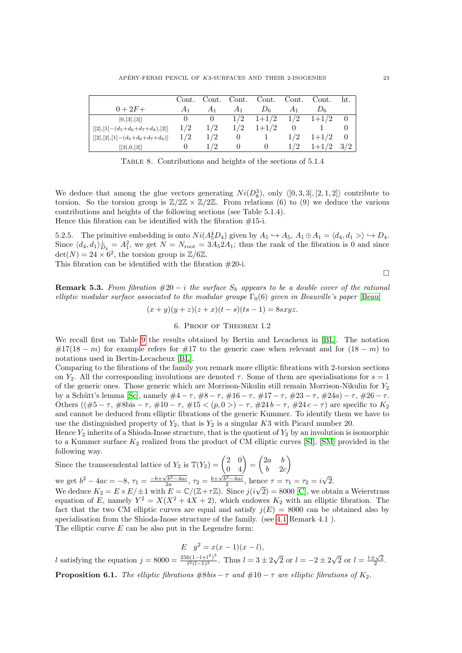|                                            |     |       |       | Cont. Cont. Cont. Cont. Cont. |       | Cont.   | ht. |
|--------------------------------------------|-----|-------|-------|-------------------------------|-------|---------|-----|
| $0 + 2F +$                                 | A1  |       | $A_1$ | $D_6$                         | $A_1$ | $D_6$   |     |
| [0, 3, 3]                                  |     |       | 1/2   | $1+1/2$                       | 1/2   | $1+1/2$ |     |
| $[2], [1] - (d_5 + d_6 + d_7 + d_8), [2]$  | 1/2 | 1/2   | 1/2   | $1+1/2$                       |       |         |     |
| $[2], [2], [1] - (d_5 + d_6 + d_7 + d_8)]$ | 1/2 | 1/2   |       |                               | 1/2   | $1+1/2$ |     |
| $[3]$ , 0, [3]                             |     | 1 / 2 |       |                               | 1/2   | $1+1/2$ |     |

Table 8. Contributions and heights of the sections of 5.1.4

We deduce that among the glue vectors generating  $Ni(D_8^3)$ , only  $\langle [0, 3, 3], [2, 1, 2] \rangle$  contribute to torsion. So the torsion group is  $\mathbb{Z}/2\mathbb{Z} \times \mathbb{Z}/2\mathbb{Z}$ . From relations (6) to (9) we deduce the various contributions and heights of the following sections (see Table 5.1.4). Hence this fibration can be identified with the fibration  $#15$ -i.

5.2.5. The primitive embedding is onto  $Ni(A_5^4D_4)$  given by  $A_5 \hookrightarrow A_5$ ,  $A_1 \oplus A_1 = \langle d_4, d_1 \rangle \rightarrow \rightarrow D_4$ . Since  $\langle d_4, d_1 \rangle_{D_4}^{\perp} = A_1^2$ , we get  $N = N_{\text{root}} = 3A_5 2A_1$ ; thus the rank of the fibration is 0 and since  $\det(N) = 24 \times 6^2$ , the torsion group is  $\mathbb{Z}/6\mathbb{Z}$ .

This fibration can be identified with the fibration  $#20$ -i.

**Remark 5.3.** From fibration  $\#20 - i$  the surface  $S_k$  appears to be a double cover of the rational elliptic modular surface associated to the modular groupe  $\Gamma_0(6)$  given in Beauville's paper [\[Beau\]](#page-28-25)

$$
(x+y)(y+z)(z+x)(t-s)(ts-1) = 8sxyz.
$$

6. Proof of Theorem 1.2

We recall first on Table [9](#page-23-0) the results obtained by Bertin and Lecacheux in [\[BL\]](#page-28-8). The notation  $\#17(18-m)$  for example refers for  $\#17$  to the generic case when relevant and for  $(18-m)$  to notations used in Bertin-Lecacheux [\[BL\]](#page-28-8).

Comparing to the fibrations of the family you remark more elliptic fibrations with 2-torsion sections on Y<sub>2</sub>. All the corresponding involutions are denoted  $\tau$ . Some of them are specialisations for  $s = 1$ of the generic ones. Those generic which are Morrison-Nikulin still remain Morrison-Nikulin for  $Y_2$ by a Schütt's lemma [\[Sc\]](#page-28-7), namely  $\#4 - \tau$ ,  $\#8 - \tau$ ,  $\#16 - \tau$ ,  $\#17 - \tau$ ,  $\#23 - \tau$ ,  $\#24a$ ) –  $\tau$ ,  $\#26 - \tau$ . Others  $((\#5 - \tau, \#8\text{bis} - \tau, \#10 - \tau, \#15 < (p, 0 >) - \tau, \#24b - \tau, \#24c - \tau)$  are specific to  $K_2$ and cannot be deduced from elliptic fibrations of the generic Kummer. To identify them we have to use the distinguished property of  $Y_2$ , that is  $Y_2$  is a singular K3 with Picard number 20.

Hence  $Y_2$  inherits of a Shioda-Inose structure, that is the quotient of  $Y_2$  by an involution is isomorphic to a Kummer surface  $K_2$  realized from the product of CM elliptic curves [\[SI\]](#page-29-0), [\[SM\]](#page-29-2) provided in the following way.

Since the transcendental lattice of  $Y_2$  is  $\mathbb{T}(Y_2) = \begin{pmatrix} 2 & 0 \\ 0 & 4 \end{pmatrix} = \begin{pmatrix} 2a & b \\ b & 2a \end{pmatrix}$  $b = 2c$  $\setminus$ we get  $b^2 - 4ac = -8$ ,  $\tau_1 = \frac{-b + \sqrt{b^2 - 4ac}}{2a}$ ,  $\tau_2 = \frac{b + \sqrt{b^2 - 4ac}}{2}$ , hence  $\tau = \tau_1 = \tau_2 = i$ 

2. We deduce  $K_2 = E \times E / \pm 1$  with  $E = \mathbb{C}/(\mathbb{Z} + \tau \mathbb{Z})$ . Since  $j(i\sqrt{\tau})$  $(2) = 8000$  [\[C\]](#page-28-26), we obtain a Weierstrass equation of E, namely  $Y^2 = X(X^2 + 4X + 2)$ , which endowes  $K_2$  with an elliptic fibration. The fact that the two CM elliptic curves are equal and satisfy  $j(E) = 8000$  can be obtained also by specialisation from the Shioda-Inose structure of the family. (see [4.1](#page-12-0) Remark 4.1 ). The elliptic curve  $E$  can be also put in the Legendre form:

$$
E \t y^2 = x(x-1)(x-l),
$$

<span id="page-22-0"></span>l satisfying the equation  $j = 8000 = \frac{256(1 - l + l^2)^3}{l^2 (l-1)^2}$  $\frac{b(1-l+l^2)^2}{l^2(l-1)^2}$ . Thus  $l=3\pm 2$ √ 2 or  $l = -2 \pm 2$ √  $\overline{2}$  or  $l = \frac{1 \pm \sqrt{2}}{2}$ . **Proposition 6.1.** The elliptic fibrations  $\#8bis - \tau$  and  $\#10 - \tau$  are elliptic fibrations of K<sub>2</sub>.

 $\Box$ 

√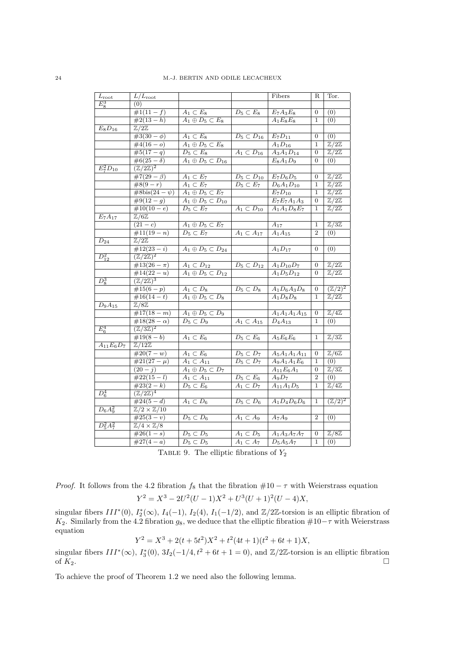<span id="page-23-0"></span>

| $L_{\text{root}}$         | $\overline{L/L_{\rm root}}$             |                                                       |                                 | Fibers                    | R                | Tor.                                |
|---------------------------|-----------------------------------------|-------------------------------------------------------|---------------------------------|---------------------------|------------------|-------------------------------------|
| $E_8^3$                   | (0)                                     |                                                       |                                 |                           |                  |                                     |
|                           | $\#1(11-f)$                             | $A_1 \subset E_8$                                     | $D_5 \subset E_8$               | $E_7A_3E_8$               | 0                | (0)                                 |
|                           | $#2(13-h)$                              | $A_1 \oplus D_5 \subset E_8$                          |                                 | $A_1E_8E_8$               | $\mathbf{1}$     | (0)                                 |
| $E_8D_{16}$               | $\mathbb{Z}/2\mathbb{Z}$                |                                                       |                                 |                           |                  |                                     |
|                           | $\#3(30 - \phi)$                        | $A_1 \subset E_8$                                     | $D_5 \subset D_{16}$            | $E_7D_{11}$               | 0                | (0)                                 |
|                           | $\#4(16-o)$                             | $A_1 \oplus D_5 \subset E_8$                          |                                 | $\overline{A_1D_{16}}$    | $\mathbf{1}$     | $\overline{\mathbb{Z}/2\mathbb{Z}}$ |
|                           | $#5(17-q)$                              | $\overline{D_5 \subset E_8}$                          | $A_1 \subset D_{16}$            | $A_3A_1D_{14}$            | 0                | $\overline{\mathbb{Z}/2\mathbb{Z}}$ |
|                           | $\sqrt{\#6(25-\delta)}$                 | $A_1 \oplus D_5 \subset D_{16}$                       |                                 | $E_8A_1D_9$               | 0                | (0)                                 |
| $E_7^2D_{10}$             | $(\mathbb{Z}/2\mathbb{Z})^2$            |                                                       |                                 |                           |                  |                                     |
|                           | $#7(29 - \beta)$                        | $A_1 \subset E_7$                                     | $D_5 \subset D_{10}$            | $E_7D_6D_5$               | 0                | $\overline{\mathbb{Z}/2\mathbb{Z}}$ |
|                           | $#8(9-r)$                               | $A_1 \subset E_7$                                     | $D_5 \subset E_7$               | $D_6A_1D_{10}$            | 1                | $\mathbb{Z}/2\mathbb{Z}$            |
|                           | $\overline{\#8}\text{bis}(24-\psi)$     | $\overline{A_1 \oplus D_5 \subset E_7}$               |                                 | $E_7D_{10}$               | $\mathbf 1$      | $\overline{\mathbb{Z}/2\mathbb{Z}}$ |
|                           | $#9(12-g)$                              | $\overline{A_1 \oplus D_5} \subset \overline{D}_{10}$ |                                 | $E_7E_7A_1A_3$            | 0                | $\overline{\mathbb{Z}/2\mathbb{Z}}$ |
|                           | $\#10(10-e)$                            | $D_5 \subset E_7$                                     | $A_1 \subset D_{10}$            | $A_1A_1D_8E_7$            | 1                | $\mathbb{Z}/\overline{2\mathbb{Z}}$ |
| $E_7A_{17}$               | $\overline{\mathbb{Z}/6\mathbb{Z}}$     |                                                       |                                 |                           |                  |                                     |
|                           | $(21 - c)$                              | $A_1 \oplus D_5 \subset E_7$                          |                                 | $\overline{A}_{17}$       | $\mathbf 1$      | $\overline{\mathbb{Z}/3\mathbb{Z}}$ |
|                           | $#11(19-n)$                             | $D_5 \subset E_7$                                     | $\overline{A_1 \subset A_{17}}$ | $A_1A_{15}$               | $\overline{2}$   | (0)                                 |
| $D_{24}$                  | $\overline{\mathbb{Z}/2\mathbb{Z}}$     |                                                       |                                 |                           |                  |                                     |
|                           | $\overline{\#12(23-i)}$                 | $\overline{A_1 \oplus D_5} \subset D_{24}$            |                                 | $\overline{A_1D_{17}}$    | 0                | (0)                                 |
| $D_{12}^2$                | $(\mathbb{Z}/2\mathbb{Z})^2$            |                                                       |                                 |                           |                  |                                     |
|                           | $\#13(26-\pi)$                          | $A_1 \subset D_{12}$                                  | $D_5 \subset D_{12}$            | $A_1D_{10}D_7$            | 0                | $\overline{\mathbb{Z}/2\mathbb{Z}}$ |
|                           | $\#14(22-u)$                            | $A_1 \oplus D_5 \subset D_{12}$                       |                                 | $A_1D_5D_{12}$            | $\overline{0}$   | $\mathbb{Z}/2\mathbb{Z}$            |
| $D_8^3$                   | $(\mathbb{Z}/2\mathbb{Z})^3$            |                                                       |                                 |                           |                  |                                     |
|                           | $#15(6-p)$                              | $A_1 \subset D_8$                                     | $D_5\subset D_8$                | $\overline{A_1D_6A_3D_8}$ | $\boldsymbol{0}$ | $(\mathbb{Z}/2)^2$                  |
|                           | $\#16(14-t)$                            | $A_1 \oplus D_5 \subset D_8$                          |                                 | $A_1D_8D_8$               | $\mathbf{1}$     | $\mathbb{Z}/2\mathbb{Z}$            |
| $\overline{D_9A_{15}}$    | $\mathbb{Z}/8\mathbb{Z}$                |                                                       |                                 |                           |                  |                                     |
|                           | $#17(18-m)$                             | $A_1 \oplus D_5 \subset D_9$                          |                                 | $A_1A_1A_1A_{15}$         | $\boldsymbol{0}$ | $\mathbb{Z}/4\mathbb{Z}$            |
|                           | #18(28 - $\alpha$ )                     | $D_5\subset\overline{D_9}$                            | $A_1 \subset A_{15}$            | $D_4A_{13}$               | 1                | (0)                                 |
| $E_6^4$                   | $\overline{(\mathbb{Z}/3\mathbb{Z})^2}$ |                                                       |                                 |                           |                  |                                     |
|                           | $#19(8-b)$                              | $A_1 \subset E_6$                                     | $D_5 \subset E_6$               | $\overline{A_5E_6E_6}$    | 1                | $\overline{\mathbb{Z}/3\mathbb{Z}}$ |
| $\overline{A_{11}E_6D_7}$ | $\overline{\mathbb{Z}/12\mathbb{Z}}$    |                                                       |                                 |                           |                  |                                     |
|                           | $\sqrt{\#20(7-w)}$                      | $A_1 \subset E_6$                                     | $D_5\subset D_7$                | $A_5A_1A_1A_{11}$         | 0                | $\overline{\mathbb{Z}/6\mathbb{Z}}$ |
|                           | $\sqrt{\#21(27-\mu)}$                   | $A_1 \subset A_{11}$                                  | $D_5 \subset D_7$               | $A_9A_1A_1E_6$            | $\mathbf 1$      | (0)                                 |
|                           | $(20 - j)$                              | $\overline{A_1 \oplus D_5 \subset D_7}$               |                                 | $A_{11}E_6A_1$            | $\boldsymbol{0}$ | $\overline{\mathbb{Z}/3\mathbb{Z}}$ |
|                           | $\sqrt{\#22(15-l)}$                     | $A_1 \subset A_{11}$                                  | $D_5 \subset E_6$               | $\overline{A_9D_7}$       | $\boldsymbol{2}$ | (0)                                 |
|                           | $#23(2 - k)$                            | $D_5 \subset E_6$                                     | $A_1 \subset D_7$               | $A_{11}A_1D_5$            | 1                | $\sqrt{\sqrt{4\mathbb{Z}}}$         |
| $D_6^4$                   | $(\mathbb{Z}/2\mathbb{Z})^4$            |                                                       |                                 |                           |                  |                                     |
|                           | $#24(5-d)$                              | $\overline{A_1 \subset D_6}$                          | $D_5\subset D_6$                | $\overline{A_1D_4D_6D_6}$ | $\mathbf{1}$     | $(\mathbb{Z}/2)^2$                  |
| $D_6A_9^2$                | $\mathbb{Z}/2 \times \mathbb{Z}/10$     |                                                       |                                 |                           |                  |                                     |
|                           | $#25(3 - v)$                            | $D_5\subset D_6$                                      | $A_1 \subset A_9$               | $A_7A_9$                  | $\overline{2}$   | (0)                                 |
| $D_5^2A_7^2$              | $\mathbb{Z}/4 \times \mathbb{Z}/8$      |                                                       |                                 |                           |                  |                                     |
|                           | $\#26(1-s)$                             | $D_5 \subset \overline{D_5}$                          | $A_1 \subset D_5$               | $A_1A_3A_7A_7$            | 0                | $\mathbb{Z}/8\mathbb{Z}$            |
|                           | $#27(4-a)$                              | $D_5\subset D_5$                                      | $A_1 \subset A_7$               | $D_5A_5A_7$               | $\mathbf{1}$     | (0)                                 |

TABLE 9. The elliptic fibrations of  $Y_2$ 

*Proof.* It follows from the 4.2 fibration  $f_8$  that the fibration  $#10 - \tau$  with Weierstrass equation

$$
Y^2 = X^3 - 2U^2(U - 1)X^2 + U^3(U + 1)^2(U - 4)X,
$$

singular fibers  $III^*(0)$ ,  $I_2^*(\infty)$ ,  $I_4(-1)$ ,  $I_2(4)$ ,  $I_1(-1/2)$ , and  $\mathbb{Z}/2\mathbb{Z}$ -torsion is an elliptic fibration of K<sub>2</sub>. Similarly from the 4.2 fibration  $g_8$ , we deduce that the elliptic fibration #10− $\tau$  with Weierstrass equation

$$
Y^2 = X^3 + 2(t + 5t^2)X^2 + t^2(4t + 1)(t^2 + 6t + 1)X,
$$

singular fibers  $III^*(\infty)$ ,  $I_3^*(0)$ ,  $3I_2(-1/4, t^2 + 6t + 1 = 0)$ , and  $\mathbb{Z}/2\mathbb{Z}$ -torsion is an elliptic fibration of  $K_2$ .

To achieve the proof of Theorem 1.2 we need also the following lemma.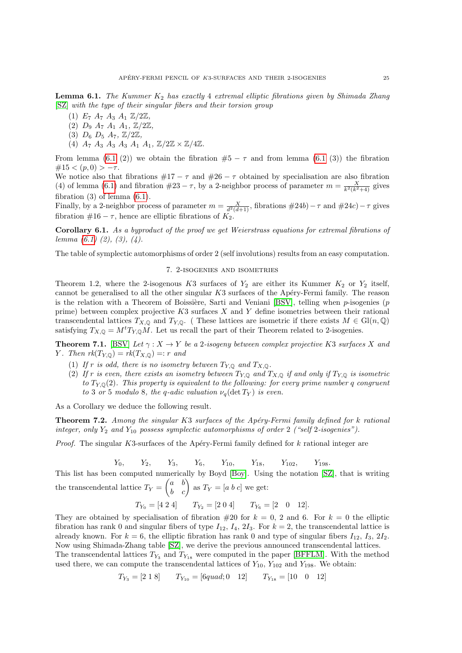<span id="page-24-0"></span>**Lemma 6.1.** The Kummer  $K_2$  has exactly 4 extremal elliptic fibrations given by Shimada Zhang [\[SZ\]](#page-29-3) with the type of their singular fibers and their torsion group

- (1)  $E_7 A_7 A_3 A_1 \mathbb{Z}/2\mathbb{Z}$ ,
- $(2)$   $D_9$   $A_7$   $A_1$   $A_1$ ,  $\mathbb{Z}/2\mathbb{Z}$ ,
- (3)  $D_6$   $D_5$   $A_7$ ,  $\mathbb{Z}/2\mathbb{Z}$ ,
- (4)  $A_7 A_3 A_3 A_3 A_1 A_1, \mathbb{Z}/2\mathbb{Z} \times \mathbb{Z}/4\mathbb{Z}.$

From lemma [\(6.1](#page-24-0) (2)) we obtain the fibration  $#5 - \tau$  and from lemma (6.1 (3)) the fibration  $\#15 < (p,0) > -\tau$ .

We notice also that fibrations  $#17 - \tau$  and  $#26 - \tau$  obtained by specialisation are also fibration (4) of lemma [\(6.1\)](#page-24-0) and fibration  $\#23 - \tau$ , by a 2-neighbor process of parameter  $m = \frac{X}{k^2(k^2+4)}$  gives fibration  $(3)$  of lemma  $(6.1)$ .

Finally, by a 2-neighbor process of parameter  $m = \frac{X}{d^2(d+1)}$ , fibrations  $\#24b$ ) –  $\tau$  and  $\#24c$ ) –  $\tau$  gives fibration  $#16 - \tau$ , hence are elliptic fibrations of  $K_2$ .

Corollary 6.1. As a byproduct of the proof we get Weierstrass equations for extremal fibrations of lemma  $(6.1)$   $(2)$ ,  $(3)$ ,  $(4)$ .

The table of symplectic automorphisms of order 2 (self involutions) results from an easy computation.

## 7. 2-isogenies and isometries

Theorem 1.2, where the 2-isogenous K3 surfaces of  $Y_2$  are either its Kummer  $K_2$  or  $Y_2$  itself, cannot be generalised to all the other singular  $K3$  surfaces of the Apéry-Fermi family. The reason is the relation with a Theorem of Boissière, Sarti and Veniani [\[BSV\]](#page-28-12), telling when p-isogenies (p prime) between complex projective  $K3$  surfaces X and Y define isometries between their rational transcendental lattices  $T_{X,\mathbb{Q}}$  and  $T_{Y,\mathbb{Q}}$ . (These lattices are isometric if there exists  $M \in Gl(n,\mathbb{Q})$ satisfying  $T_{X,\mathbb{Q}} = M^t T_{Y,\mathbb{Q}} M$ . Let us recall the part of their Theorem related to 2-isogenies.

**Theorem 7.1.** [\[BSV\]](#page-28-12) Let  $\gamma: X \to Y$  be a 2-isogeny between complex projective K3 surfaces X and Y. Then  $rk(T_{Y,\mathbb{Q}}) = rk(T_{X,\mathbb{Q}}) =: r$  and

- (1) If r is odd, there is no isometry between  $T_{Y,Q}$  and  $T_{X,Q}$ .
- (2) If r is even, there exists an isometry between  $T_{Y,\mathbb{Q}}$  and  $T_{X,\mathbb{Q}}$  if and only if  $T_{Y,\mathbb{Q}}$  is isometric to  $T_{Y,Q}(2)$ . This property is equivalent to the following: for every prime number q congruent to 3 or 5 modulo 8, the q-adic valuation  $\nu_q(\det T_Y)$  is even.

As a Corollary we deduce the following result.

**Theorem 7.2.** Among the singular K3 surfaces of the Apéry-Fermi family defined for  $k$  rational integer, only  $Y_2$  and  $Y_{10}$  possess symplectic automorphisms of order 2 ("self 2-isogenies").

*Proof.* The singular K3-surfaces of the Apéry-Fermi family defined for  $k$  rational integer are

 $Y_0, \t Y_2, \t Y_3, \t Y_6, \t Y_{10}, \t Y_{18}, \t Y_{102}, \t Y_{198}.$ 

This list has been computed numerically by Boyd [\[Boy\]](#page-28-27). Using the notation [\[SZ\]](#page-29-3), that is writing the transcendental lattice  $T_Y = \begin{pmatrix} a & b \\ b & c \end{pmatrix}$  as  $T_Y = [a \ b \ c]$  we get:

$$
T_{Y_0} = [4 2 4]
$$
  $T_{Y_2} = [2 0 4]$   $T_{Y_6} = [2 0 12]$ .

They are obtained by specialisation of fibration  $#20$  for  $k = 0$ , 2 and 6. For  $k = 0$  the elliptic fibration has rank 0 and singular fibers of type  $I_{12}$ ,  $I_4$ ,  $2I_3$ . For  $k = 2$ , the transcendental lattice is already known. For  $k = 6$ , the elliptic fibration has rank 0 and type of singular fibers  $I_{12}$ ,  $I_3$ ,  $2I_2$ . Now using Shimada-Zhang table [\[SZ\]](#page-29-3), we derive the previous announced transcendental lattices. The transcendental lattices  $T_{Y_3}$  and  $T_{Y_{18}}$  were computed in the paper [\[BFFLM\]](#page-28-28). With the method used there, we can compute the transcendental lattices of  $Y_{10}$ ,  $Y_{102}$  and  $Y_{198}$ . We obtain:

$$
T_{Y_3} = [2 \ 1 \ 8] \qquad T_{Y_{10}} = [6quad; 0 \quad 12] \qquad T_{Y_{18}} = [10 \quad 0 \quad 12]
$$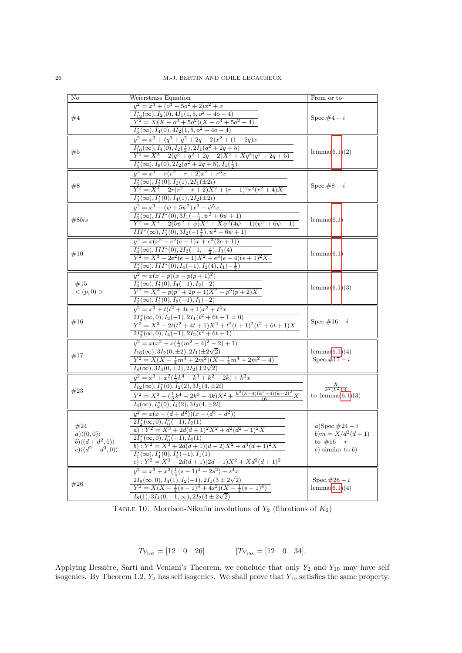| No                                                              | Weierstrass Equation                                                                                                            | From or to                   |
|-----------------------------------------------------------------|---------------------------------------------------------------------------------------------------------------------------------|------------------------------|
|                                                                 | $y^2 = x^3 + (o^3 - 5o^2 + 2)x^2 + x$                                                                                           |                              |
|                                                                 |                                                                                                                                 |                              |
| #4                                                              | $\frac{I_{12}^*(\infty), I_2(0), 4I_1(1, 5, o^2 - 4o - 4)}{Y^2 = X(X - o^3 + 5o^2)(X - o^3 + 5o^2 - 4)}$                        | $Spec. \#4 - i$              |
|                                                                 | $I_6^*(\infty), I_4(0), 4I_2(1, 5, o^2 - 4o - 4)$                                                                               |                              |
|                                                                 | $\overline{y^2 = x^3 + (q^3 + q^2 + 2q - 2)x^2 + (1 - 2q)x}$                                                                    |                              |
|                                                                 | $I_{10}^*(\infty), I_4(0), I_2(\frac{1}{2}), 2I_1(q^2+2q+5)$                                                                    |                              |
| #5                                                              | $Y^2 = X^3 - 2(q^3 + q^2 + 2q - 2)X^2 + Xq^4(q^2 + 2q + 5)$                                                                     | lemma $(6.1)(2)$             |
|                                                                 | $I_5^*(\infty)$ , $I_8(0)$ , $2I_2(q^2+2q+5)$ , $I_1(\frac{1}{2})$                                                              |                              |
|                                                                 | $y^2 = x^3 - r(r^2 - r + 2)x^2 + r^3x$                                                                                          |                              |
|                                                                 | $I_6^*(\infty), I_2^*(0), I_2(1), 2I_1(\pm 2i)$                                                                                 |                              |
| #8                                                              | $\overline{Y^2 = X^3 + 2r(r^2 - r + 2)X^2 + (r - 1)^2r^2(r^2 + 4)X}$                                                            | $Spec. \#8 - i$              |
|                                                                 | $I_3^*(\infty), I_1^*(0), I_4(1), 2I_2(\pm 2i)$                                                                                 |                              |
|                                                                 | $y^2 = x^3 - (\psi + 5\psi^2)x^2 - \psi^5x$                                                                                     |                              |
|                                                                 | $I_6^*(\infty), III^*(0), 3I_1(-\frac{1}{4}, \psi^2 + 6\psi + 1)$                                                               |                              |
| #8bis                                                           | $Y^2 = X^3 + 2(5\psi^2 + \psi)X^2 + X\psi^2(4\psi + 1)(\psi^2 + 6\psi + 1)$                                                     | lemma(6.1)                   |
|                                                                 | $III^*(\infty), I_3^*(0), 3I_2(-(\frac{1}{4}), \psi^2 + 6\psi + 1)$                                                             |                              |
|                                                                 | $\overline{y^2 = x(x^2 - e^2(e-1)x + e^3(2e+1))}$                                                                               |                              |
|                                                                 | $I_4^*(\infty)$ , $III^*(0)$ , $2I_2(-1,-\frac{1}{2})$ , $I_1(4)$                                                               |                              |
| #10                                                             | $Y^2 = X^3 + 2e^2(e-1)X^2 + e^3(e-4)(e+1)^2X$                                                                                   | lemma(6.1)                   |
|                                                                 | $I_2^*(\infty), III^*(0), I_4(-1), I_2(4), I_1(-\frac{1}{2})$                                                                   |                              |
|                                                                 | $y^2 = x(x-p)(x-p(p+1)^2)$                                                                                                      |                              |
| #15                                                             | $\frac{I_4^*(\infty), I_2^*(0), I_4(-1), I_2(-2)}{Y^2 = X^3 - p(p^2 + 2p - 1)X^2 - p^3(p+2)X}$                                  | lemma $(6.1)(3)$             |
| < (p, 0)                                                        |                                                                                                                                 |                              |
|                                                                 | $I_2^*(\infty), I_1^*(0), I_8(-1), I_1(-2)$                                                                                     |                              |
|                                                                 | $y^2 = x^3 + t(t^2 + 4t + 1)x^2 + t^4x$                                                                                         |                              |
| #16                                                             | $\frac{2I_4^*(\infty,0), I_2(-1), 2I_1(t^2+6t+1=0)}{Y^2=X^3-2t(t^2+4t+1)X^2+t^2(t+1)^2(t^2+6t+1)X}$                             | $Spec. \#16 - i$             |
|                                                                 |                                                                                                                                 |                              |
|                                                                 | $2I_2^*(\infty,0), I_4(-1), 2I_2(t^2+6t+1)$                                                                                     |                              |
|                                                                 | $y^2 = x(x^2 + x(\frac{1}{4}(m^2 - 4)^2 - 2) + 1)$                                                                              |                              |
| #17                                                             | $I_{16}(\infty)$ , $3I_2(0,\pm 2)$ , $2I_1(\pm 2\sqrt{2})$                                                                      | lemma $(6.1)(4)$             |
|                                                                 | $Y^2 = X(X - \frac{1}{4}m^4 + 2m^2)(X - \frac{1}{4}m^4 + 2m^2 - 4)$                                                             | $Spec. \#17 - i$             |
|                                                                 | $I_8(\infty), \overline{3I_4(0, \pm 2), 2I_2(\pm 2\sqrt{2})}$                                                                   |                              |
|                                                                 | $y^2 = x^3 + x^2(\frac{1}{4}k^4 - k^3 + k^2 - 2k) + k^2x$                                                                       |                              |
| #23                                                             | $I_{12}(\infty), I_1^*(0), I_2(2), 3I_1(4, \pm 2i)$                                                                             | $\frac{\lambda}{k^2(k^2+4)}$ |
|                                                                 | $Y^2 = X^3 - (\frac{1}{2}k^4 - 2k^3 - 4k)X^2 + \frac{k^3(k-4)(k^2+4)(k-2)^2}{16}X$                                              | to lemma $(6.1)(3)$          |
|                                                                 | $I_6(\infty), I_2^*(0), I_4(2), 3I_2(4, \pm 2i)$                                                                                |                              |
|                                                                 | $y^{2} = x(x - (d + d^{2}))(x - (d^{3} + d^{2}))$                                                                               |                              |
|                                                                 | $2I_2^*(\infty,0), I_0^*(-1), I_2(1)$                                                                                           | a)Spec. $\#24 - i$           |
| #24<br>$a)\langle (0,0)\rangle$<br>$b)\langle (d+d^2,0)\rangle$ | a) : $Y^2 = X^3 + 2d(d+1)^2X^2 + d^2(d^2-1)^2X$                                                                                 | $b)m = X/d^2(d+1)$           |
|                                                                 | $2I_1^*(\infty,0), I_0^*(-1), I_4(1)$                                                                                           | to $\#16 - \tau$             |
| $c\rangle\langle (d^2+d^3,0)\rangle$                            | $\overline{b})$ : $\overline{Y^2 = X^3 + 2d(d+1)(d-2)X^2 + d^4(d+1)^2X}$                                                        | $c)$ similar to $b)$         |
|                                                                 | $I_1^*(\infty), I_4^*(0), I_0^*(-1), I_1(1)$                                                                                    |                              |
|                                                                 | c) : $Y^2 = X^3 - 2d(d+1)(2d-1)X^2 + Xd^2(d+1)^2$                                                                               |                              |
|                                                                 | $\frac{y^2}{y^2-x^3+x^2(\frac{1}{4}(s-1)^4-2s^2)+s^4x}$                                                                         |                              |
| #26                                                             | $\frac{2I_8(\infty,0), I_4(1), I_2(-1), 2I_1(3 \pm 2\sqrt{2})}{Y^2 = X(X - \frac{1}{4}(s-1)^4 + 4s^2)(X - \frac{1}{4}(s-1)^4)}$ | $Spec. \#26 - i$             |
|                                                                 |                                                                                                                                 | lemma $(6.1)(4)$             |
|                                                                 | $I_8(1), 3I_4(0,-1,\infty), 2I_2(3 \pm 2\sqrt{2})$                                                                              |                              |

TABLE 10. Morrison-Nikulin involutions of  $Y_2$  (fibrations of  $K_2$ )

 $T_{Y_{102}} = \begin{bmatrix} 12 & 0 & 26 \end{bmatrix} \hspace{1cm} [T_{Y_{198}} = \begin{bmatrix} 12 & 0 & 34 \end{bmatrix} \hspace{-.5cm}.$ 

Applying Bessière, Sarti and Veniani's Theorem, we conclude that only  $Y_2$  and  $Y_{10}$  may have self isogenies. By Theorem 1.2,  $Y_2$  has self isogenies. We shall prove that  $Y_{10}$  satisfies the same property.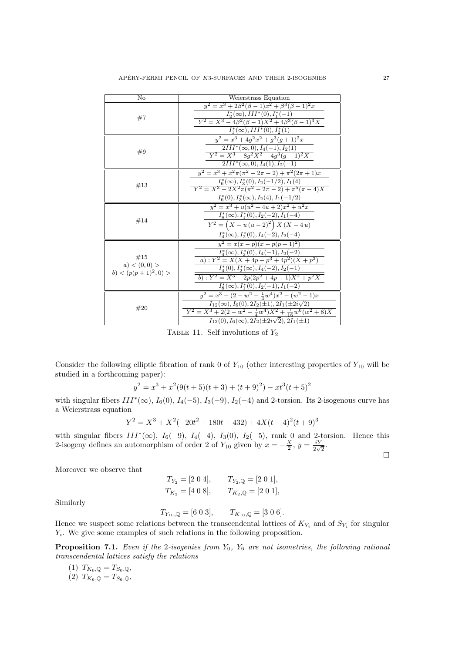| No                                               | Weierstrass Equation                                                                                                                                                                                                                                                                 |
|--------------------------------------------------|--------------------------------------------------------------------------------------------------------------------------------------------------------------------------------------------------------------------------------------------------------------------------------------|
| #7                                               | $y^2 = x^3 + 2\beta^2(\beta - 1)x^2 + \beta^3(\beta - 1)^2x$<br>$I_2^*(\infty), III^*(0), I_1^*(-1)$<br>$Y^2 = X^3 - 4\beta^2(\beta - 1)X^2 + 4\beta^3(\beta - 1)^3X$<br>$I_1^*(\infty), III^*(0), I_2^*(1)$                                                                         |
| #9                                               | $y^2 = x^3 + 4q^2x^2 + q^3(q+1)^2x$<br>$\frac{2III^*(\infty,0), I_4(-1), I_2(1)}{Y^2 = X^3 - 8g^2X^2 - 4g^3(g-1)^2X}$<br>$2III^*(\infty,0), I_4(1), I_2(-1)$                                                                                                                         |
| #13                                              | $y^2 = x^3 + x^2 \pi (\pi^2 - 2\pi - 2) + \pi^2 (2\pi + 1)x$<br>$\frac{I_6^*(\infty), I_3^*(0), I_2(-1/2), I_1(4)}{Y^2 = X^3 - 2X^2\pi(\pi^2 - 2\pi - 2) + \pi^5(\pi - 4)X}$<br>$I_6^*(0), I_3^*(\infty), I_2(4), I_1(-1/2)$                                                         |
| #14                                              | $y^2 = x^3 + u(u^2 + 4u + 2)x^2 + u^2x$<br>$I_8^*(\infty), I_1^*(0), I_2(-2), I_1(-4)$<br>$Y^{2} = (X - u(u - 2)^{2}) X (X - 4u)$<br>$I_4^*(\infty), I_2^*(0), I_4(-2), I_2(-4)$                                                                                                     |
| #15<br>a) < (0,0) ><br>$b$ ) < $(p(p+1)^2, 0)$ > | $y^2 = x(x-p)(x-p(p+1)^2)$<br>$I_4^*(\infty), I_2^*(0), I_4(-1), I_2(-2)$<br>a) : $Y^2 = X(X + 4p + p^3 + 4p^2)(X + p^3)$<br>$I_4^*(0), I_2^*(\infty), I_4(-2), I_2(-1)$<br>b) : $Y^2 = X^3 - 2p(2p^2 + 4p + 1)X^2 + p^2X$<br>$I_8^*(\infty), I_1^*(0), \overline{I_2(-1), I_1(-2)}$ |
| #20                                              | $y^2 = x^3 - (2 - w^2 - \frac{1}{4}w^4)x^2 - (w^2 - 1)x$<br>$I_{12}(\infty)$ , $I_6(0)$ , $2I_2(\pm 1)$ , $2I_1(\pm 2i\sqrt{2})$<br>$Y^2 = X^3 + 2(2 - w^2 - \frac{1}{4}w^4)X^2 + \frac{1}{16}w^6(w^2 + 8)X$<br>$I_{12}(0), I_6(\infty), 2I_2(\pm 2i\sqrt{2}), 2I_1(\pm 1)$          |

TABLE 11. Self involutions of  $Y_2$ 

Consider the following elliptic fibration of rank 0 of  $Y_{10}$  (other interesting properties of  $Y_{10}$  will be studied in a forthcoming paper):

$$
y^{2} = x^{3} + x^{2}(9(t+5)(t+3) + (t+9)^{2}) - xt^{3}(t+5)^{2}
$$

with singular fibers  $III^*(\infty)$ ,  $I_6(0)$ ,  $I_4(-5)$ ,  $I_3(-9)$ ,  $I_2(-4)$  and 2-torsion. Its 2-isogenous curve has a Weierstrass equation

$$
Y^2 = X^3 + X^2(-20t^2 - 180t - 432) + 4X(t+4)^2(t+9)^3
$$

with singular fibers  $III^*(\infty)$ ,  $I_6(-9)$ ,  $I_4(-4)$ ,  $I_3(0)$ ,  $I_2(-5)$ , rank 0 and 2-torsion. Hence this 2-isogeny defines an automorphism of order 2 of  $Y_{10}$  given by  $x = -\frac{X}{2}$ ,  $y = \frac{iY}{2V}$  $\frac{iY}{2\sqrt{2}}$ .

 $\Box$ 

Moreover we observe that

$$
T_{Y_2} = [2 \ 0 \ 4],
$$
  $T_{Y_2, \mathbb{Q}} = [2 \ 0 \ 1],$   
\n $T_{K_2} = [4 \ 0 \ 8],$   $T_{K_2, \mathbb{Q}} = [2 \ 0 \ 1],$ 

Similarly

$$
T_{Y_{10},\mathbb{Q}} = [6 \ 0 \ 3], \qquad T_{K_{10},\mathbb{Q}} = [3 \ 0 \ 6].
$$

Hence we suspect some relations between the transcendental lattices of  $K_{Y_i}$  and of  $S_{Y_i}$  for singular  $Y_i$ . We give some examples of such relations in the following proposition.

**Proposition 7.1.** Even if the 2-isogenies from  $Y_0$ ,  $Y_6$  are not isometries, the following rational transcendental lattices satisfy the relations

(1)  $T_{K_0,\mathbb{Q}} = T_{S_0,\mathbb{Q}},$ (2)  $T_{K_6,\mathbb{Q}} = T_{S_6,\mathbb{Q}},$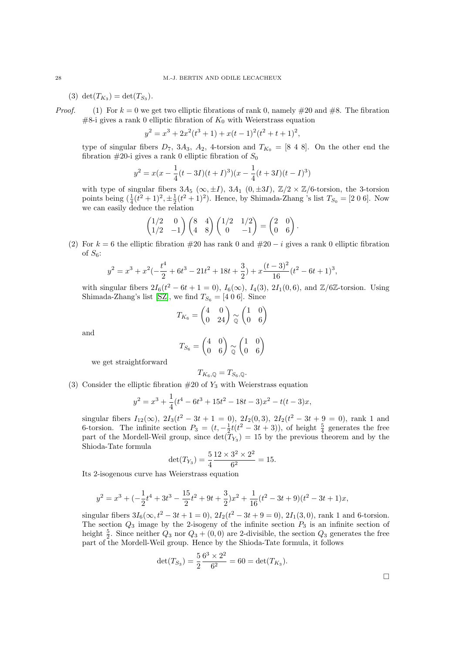(3)  $\det(T_{K_3}) = \det(T_{S_3}).$ 

*Proof.* (1) For  $k = 0$  we get two elliptic fibrations of rank 0, namely  $\#20$  and  $\#8$ . The fibration  $#8$ -i gives a rank 0 elliptic fibration of  $K_0$  with Weierstrass equation

$$
y^{2} = x^{3} + 2x^{2}(t^{3} + 1) + x(t - 1)^{2}(t^{2} + t + 1)^{2},
$$

type of singular fibers  $D_7$ ,  $3A_3$ ,  $A_2$ , 4-torsion and  $T_{K_0} = [8 \ 4 \ 8]$ . On the other end the fibration  $#20$ -i gives a rank 0 elliptic fibration of  $S_0$ 

$$
y^{2} = x(x - \frac{1}{4}(t - 3I)(t + I)^{3})(x - \frac{1}{4}(t + 3I)(t - I)^{3})
$$

with type of singular fibers  $3A_5 (\infty, \pm I)$ ,  $3A_1 (0, \pm 3I)$ ,  $\mathbb{Z}/2 \times \mathbb{Z}/6$ -torsion, the 3-torsion points being  $(\frac{1}{4}(t^2+1)^2, \pm \frac{1}{2}(t^2+1)^2)$ . Hence, by Shimada-Zhang 's list  $T_{S_0} = [2 \ 0 \ 6]$ . Now we can easily deduce the relation

$$
\begin{pmatrix} 1/2 & 0 \\ 1/2 & -1 \end{pmatrix} \begin{pmatrix} 8 & 4 \\ 4 & 8 \end{pmatrix} \begin{pmatrix} 1/2 & 1/2 \\ 0 & -1 \end{pmatrix} = \begin{pmatrix} 2 & 0 \\ 0 & 6 \end{pmatrix}.
$$

(2) For  $k = 6$  the elliptic fibration #20 has rank 0 and #20  $-i$  gives a rank 0 elliptic fibration of  $S_6$ :

$$
y^{2} = x^{3} + x^{2}(-\frac{t^{4}}{2} + 6t^{3} - 21t^{2} + 18t + \frac{3}{2}) + x\frac{(t-3)^{2}}{16}(t^{2} - 6t + 1)^{3},
$$

with singular fibers  $2I_6(t^2 - 6t + 1 = 0)$ ,  $I_6(\infty)$ ,  $I_4(3)$ ,  $2I_1(0,6)$ , and  $\mathbb{Z}/6\mathbb{Z}$ -torsion. Using Shimada-Zhang's list [\[SZ\]](#page-29-3), we find  $T_{S_6} = [4 \ 0 \ 6]$ . Since

$$
T_{K_6} = \begin{pmatrix} 4 & 0 \\ 0 & 24 \end{pmatrix} \underset{\mathbb{Q}}{\sim} \begin{pmatrix} 1 & 0 \\ 0 & 6 \end{pmatrix}
$$

and

$$
T_{S_6} = \begin{pmatrix} 4 & 0 \\ 0 & 6 \end{pmatrix} \underset{\mathbb{Q}}{\sim} \begin{pmatrix} 1 & 0 \\ 0 & 6 \end{pmatrix}
$$

we get straightforward

$$
T_{K_6,\mathbb{Q}}=T_{S_6,\mathbb{Q}}.
$$

(3) Consider the elliptic fibration  $#20$  of  $Y_3$  with Weierstrass equation

$$
y^{2} = x^{3} + \frac{1}{4}(t^{4} - 6t^{3} + 15t^{2} - 18t - 3)x^{2} - t(t - 3)x,
$$

singular fibers  $I_{12}(\infty)$ ,  $2I_3(t^2 - 3t + 1 = 0)$ ,  $2I_2(0,3)$ ,  $2I_2(t^2 - 3t + 9 = 0)$ , rank 1 and 6-torsion. The infinite section  $P_3 = (t, -\frac{1}{2}t(t^2 - 3t + 3))$ , of height  $\frac{5}{4}$  generates the free part of the Mordell-Weil group, since  $\det(T_{Y_3}) = 15$  by the previous theorem and by the Shioda-Tate formula

$$
\det(T_{Y_3}) = \frac{5}{4} \frac{12 \times 3^2 \times 2^2}{6^2} = 15.
$$

Its 2-isogenous curve has Weierstrass equation

$$
y^2=x^3+(-\frac{1}{2}t^4+3t^3-\frac{15}{2}t^2+9t+\frac{3}{2})x^2+\frac{1}{16}(t^2-3t+9)(t^2-3t+1)x,
$$

singular fibers  $3I_6(\infty, t^2 - 3t + 1 = 0)$ ,  $2I_2(t^2 - 3t + 9 = 0)$ ,  $2I_1(3, 0)$ , rank 1 and 6-torsion. The section  $Q_3$  image by the 2-isogeny of the infinite section  $P_3$  is an infinite section of height  $\frac{5}{2}$ . Since neither  $Q_3$  nor  $Q_3 + (0,0)$  are 2-divisible, the section  $Q_3$  generates the free part of the Mordell-Weil group. Hence by the Shioda-Tate formula, it follows

$$
\det(T_{S_3}) = \frac{5}{2} \frac{6^3 \times 2^2}{6^2} = 60 = \det(T_{K_3}).
$$

 $\Box$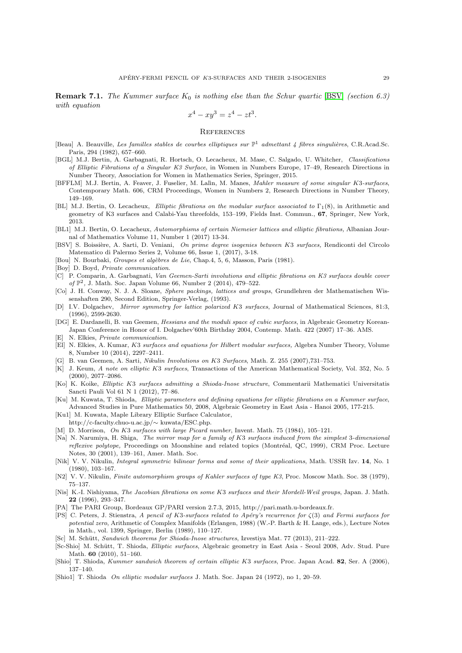$$
x^4 - xy^3 = z^4 - zt^3.
$$

### **REFERENCES**

- <span id="page-28-25"></span>[Beau] A. Beauville, Les familles stables de courbes elliptiques sur  $\mathbb{P}^1$  admettant 4 fibres singulières, C.R.Acad.Sc. Paris, 294 (1982), 657–660.
- <span id="page-28-19"></span>[BGL] M.J. Bertin, A. Garbagnati, R. Hortsch, O. Lecacheux, M. Mase, C. Salgado, U. Whitcher, Classifications of Elliptic Fibrations of a Singular K3 Surface, in Women in Numbers Europe, 17–49, Research Directions in Number Theory, Association for Women in Mathematics Series, Springer, 2015.
- <span id="page-28-28"></span>[BFFLM] M.J. Bertin, A. Feaver, J. Fuselier, M. Lalìn, M. Manes, Mahler measure of some singular K3-surfaces, Contemporary Math. 606, CRM Proceedings, Women in Numbers 2, Research Directions in Number Theory, 149–169.
- <span id="page-28-8"></span>[BL] M.J. Bertin, O. Lecacheux, Elliptic fibrations on the modular surface associated to  $\Gamma_1(8)$ , in Arithmetic and geometry of K3 surfaces and Calabi-Yau threefolds, 153–199, Fields Inst. Commun., 67, Springer, New York, 2013.
- <span id="page-28-24"></span>[BL1] M.J. Bertin, O. Lecacheux, Automorphisms of certain Niemeier lattices and elliptic fibrations, Albanian Journal of Mathematics Volume 11, Number 1 (2017) 13-34.
- <span id="page-28-12"></span>[BSV] S. Boissière, A. Sarti, D. Veniani, On prime degree isogenies between K3 surfaces, Rendiconti del Circolo Matematico di Palermo Series 2, Volume 66, Issue 1, (2017), 3-18.
- <span id="page-28-16"></span>[Bou] N. Bourbaki, Groupes et algèbres de Lie, Chap.4, 5, 6, Masson, Paris (1981).
- <span id="page-28-27"></span>[Boy] D. Boyd, Private communication.
- <span id="page-28-26"></span>[C] P. Comparin, A. Garbagnati, Van Geemen-Sarti involutions and elliptic fibrations on K3 surfaces double cover of P 2 , J. Math. Soc. Japan Volume 66, Number 2 (2014), 479–522.
- <span id="page-28-17"></span>[Co] J. H. Conway, N. J. A. Sloane, Sphere packings, lattices and groups, Grundlehren der Mathematischen Wissenshaften 290, Second Edition, Springer-Verlag, (1993).
- <span id="page-28-1"></span>[D] I.V. Dolgachev, Mirror symmetry for lattice polarized K3 surfaces, Journal of Mathematical Sciences, 81:3, (1996), 2599-2630.
- <span id="page-28-9"></span>[DG] E. Dardanelli, B. van Geemen, Hessians and the moduli space of cubic surfaces, in Algebraic Geometry Korean-Japan Conference in Honor of I. Dolgachev'60th Birthday 2004, Contemp. Math. 422 (2007) 17–36. AMS. [E] N. Elkies, Private communication.
- <span id="page-28-11"></span><span id="page-28-3"></span>[El] N. Elkies, A. Kumar, K3 surfaces and equations for Hilbert modular surfaces, Algebra Number Theory, Volume 8, Number 10 (2014), 2297–2411.
- <span id="page-28-5"></span>[G] B. van Geemen, A. Sarti, Nikulin Involutions on K3 Surfaces, Math. Z. 255 (2007),731–753.
- <span id="page-28-10"></span>[K] J. Keum, A note on elliptic K3 surfaces, Transactions of the American Mathematical Society, Vol. 352, No. 5 (2000), 2077–2086.
- <span id="page-28-6"></span>[Ko] K. Koike, Elliptic K3 surfaces admitting a Shioda-Inose structure, Commentarii Mathematici Universitatis Sancti Pauli Vol 61 N 1 (2012), 77–86.
- <span id="page-28-21"></span>[Ku] M. Kuwata, T. Shioda, Elliptic parameters and defining equations for elliptic fibrations on a Kummer surface, Advanced Studies in Pure Mathematics 50, 2008, Algebraic Geometry in East Asia - Hanoi 2005, 177-215.
- <span id="page-28-14"></span>[Ku1] M. Kuwata, Maple Library Elliptic Surface Calculator,
- http://c-faculty.chuo-u.ac.jp/∼ kuwata/ESC.php.
- <span id="page-28-2"></span>[M] D. Morrison, On K3 surfaces with large Picard number, Invent. Math. 75 (1984), 105–121.
- <span id="page-28-22"></span>[Na] N. Narumiya, H. Shiga, The mirror map for a family of K3 surfaces induced from the simplest 3-dimensional reflexive polytope, Proceedings on Moonshine and related topics (Montréal, QC, 1999), CRM Proc. Lecture Notes, 30 (2001), 139–161, Amer. Math. Soc.
- <span id="page-28-23"></span>[Nik] V. V. Nikulin, Integral symmetric bilinear forms and some of their applications, Math. USSR Izv. 14, No. 1 (1980), 103–167.
- <span id="page-28-20"></span>[N2] V. V. Nikulin, Finite automorphism groups of Kahler surfaces of type K3, Proc. Moscow Math. Soc. 38 (1979), 75–137.
- <span id="page-28-18"></span>[Nis] K.-I. Nishiyama, The Jacobian fibrations on some K3 surfaces and their Mordell-Weil groups, Japan. J. Math. 22 (1996), 293–347.
- <span id="page-28-13"></span>[PA] The PARI Group, Bordeaux GP/PARI version 2.7.3, 2015, http://pari.math.u-bordeaux.fr.
- <span id="page-28-0"></span>[PS] C. Peters, J. Stienstra, A pencil of K3-surfaces related to Apéry's recurrence for  $\zeta(3)$  and Fermi surfaces for potential zero, Arithmetic of Complex Manifolds (Erlangen, 1988) (W.-P. Barth & H. Lange, eds.), Lecture Notes in Math., vol. 1399, Springer, Berlin (1989), 110–127.
- <span id="page-28-7"></span>[Sc] M. Schütt, Sandwich theorems for Shioda-Inose structures, Izvestiya Mat. 77 (2013), 211-222.
- <span id="page-28-15"></span>[Sc-Shio] M. Schütt, T. Shioda, *Elliptic surfaces*, Algebraic geometry in East Asia - Seoul 2008, Adv. Stud. Pure Math. 60 (2010), 51–160.
- <span id="page-28-4"></span>[Shio] T. Shioda, Kummer sandwich theorem of certain elliptic K3 surfaces, Proc. Japan Acad. 82, Ser. A (2006), 137–140.
- [Shio1] T. Shioda On elliptic modular surfaces J. Math. Soc. Japan 24 (1972), no 1, 20–59.